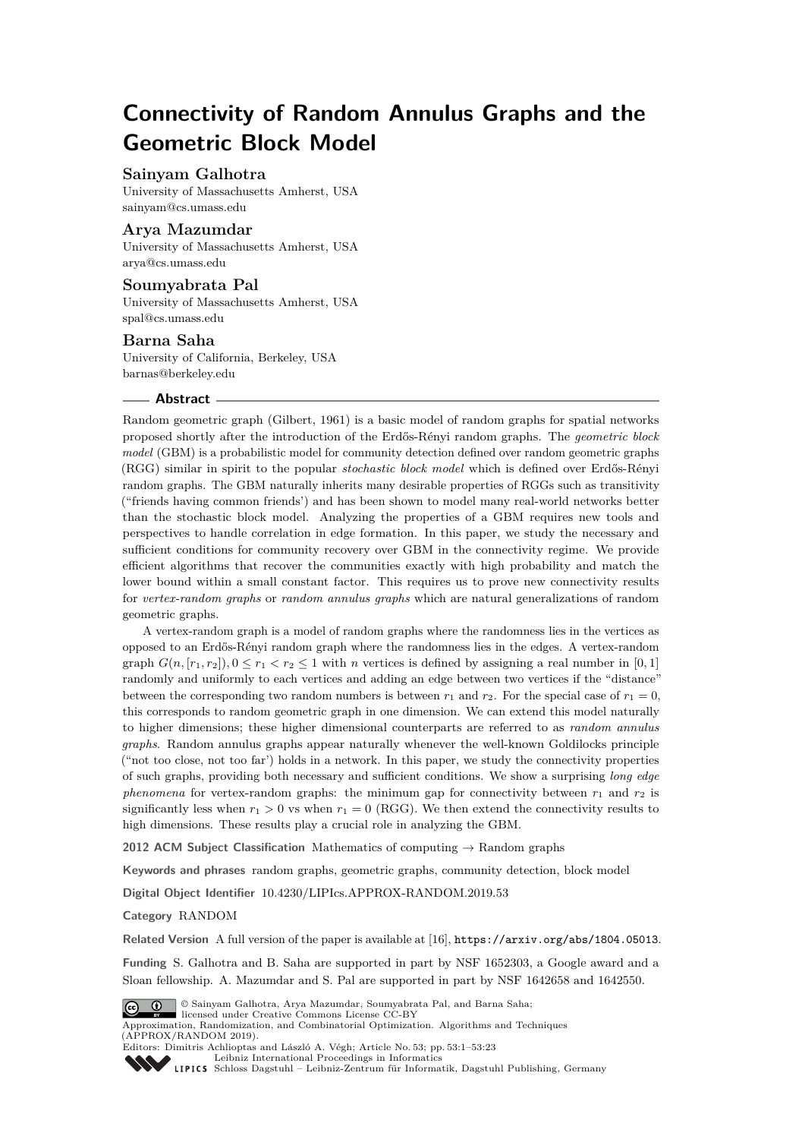# **Connectivity of Random Annulus Graphs and the Geometric Block Model**

## **Sainyam Galhotra**

University of Massachusetts Amherst, USA [sainyam@cs.umass.edu](mailto:sainyam@cs.umass.edu)

## **Arya Mazumdar**

University of Massachusetts Amherst, USA [arya@cs.umass.edu](mailto:arya@cs.umass.edu)

## **Soumyabrata Pal**

University of Massachusetts Amherst, USA [spal@cs.umass.edu](mailto:spal@cs.umass.edu)

## **Barna Saha**

University of California, Berkeley, USA [barnas@berkeley.edu](mailto:barnas@berkeley.edu)

## **Abstract**

Random geometric graph (Gilbert, 1961) is a basic model of random graphs for spatial networks proposed shortly after the introduction of the Erdős-Rényi random graphs. The *geometric block model* (GBM) is a probabilistic model for community detection defined over random geometric graphs (RGG) similar in spirit to the popular *stochastic block model* which is defined over Erdős-Rényi random graphs. The GBM naturally inherits many desirable properties of RGGs such as transitivity ("friends having common friends') and has been shown to model many real-world networks better than the stochastic block model. Analyzing the properties of a GBM requires new tools and perspectives to handle correlation in edge formation. In this paper, we study the necessary and sufficient conditions for community recovery over GBM in the connectivity regime. We provide efficient algorithms that recover the communities exactly with high probability and match the lower bound within a small constant factor. This requires us to prove new connectivity results for *vertex-random graphs* or *random annulus graphs* which are natural generalizations of random geometric graphs.

A vertex-random graph is a model of random graphs where the randomness lies in the vertices as opposed to an Erdős-Rényi random graph where the randomness lies in the edges. A vertex-random graph  $G(n, [r_1, r_2])$ ,  $0 \le r_1 < r_2 \le 1$  with *n* vertices is defined by assigning a real number in [0, 1] randomly and uniformly to each vertices and adding an edge between two vertices if the "distance" between the corresponding two random numbers is between  $r_1$  and  $r_2$ . For the special case of  $r_1 = 0$ , this corresponds to random geometric graph in one dimension. We can extend this model naturally to higher dimensions; these higher dimensional counterparts are referred to as *random annulus graphs*. Random annulus graphs appear naturally whenever the well-known Goldilocks principle ("not too close, not too far') holds in a network. In this paper, we study the connectivity properties of such graphs, providing both necessary and sufficient conditions. We show a surprising *long edge phenomena* for vertex-random graphs: the minimum gap for connectivity between  $r_1$  and  $r_2$  is significantly less when  $r_1 > 0$  vs when  $r_1 = 0$  (RGG). We then extend the connectivity results to high dimensions. These results play a crucial role in analyzing the GBM.

**2012 ACM Subject Classification** Mathematics of computing  $\rightarrow$  Random graphs

**Keywords and phrases** random graphs, geometric graphs, community detection, block model

**Digital Object Identifier** [10.4230/LIPIcs.APPROX-RANDOM.2019.53](https://doi.org/10.4230/LIPIcs.APPROX-RANDOM.2019.53)

**Category** RANDOM

**Related Version** A full version of the paper is available at [\[16\]](#page-17-0), <https://arxiv.org/abs/1804.05013>.

**Funding** S. Galhotra and B. Saha are supported in part by NSF 1652303, a Google award and a Sloan fellowship. A. Mazumdar and S. Pal are supported in part by NSF 1642658 and 1642550.



© Sainyam Galhotra, Arya Mazumdar, Soumyabrata Pal, and Barna Saha; licensed under Creative Commons License CC-BY

Approximation, Randomization, and Combinatorial Optimization. Algorithms and Techniques (APPROX/RANDOM 2019). Editors: Dimitris Achlioptas and László A. Végh; Article No. 53; pp. 53:1–53[:23](#page-22-0)



[Leibniz International Proceedings in Informatics](https://www.dagstuhl.de/lipics/)

[Schloss Dagstuhl – Leibniz-Zentrum für Informatik, Dagstuhl Publishing, Germany](https://www.dagstuhl.de)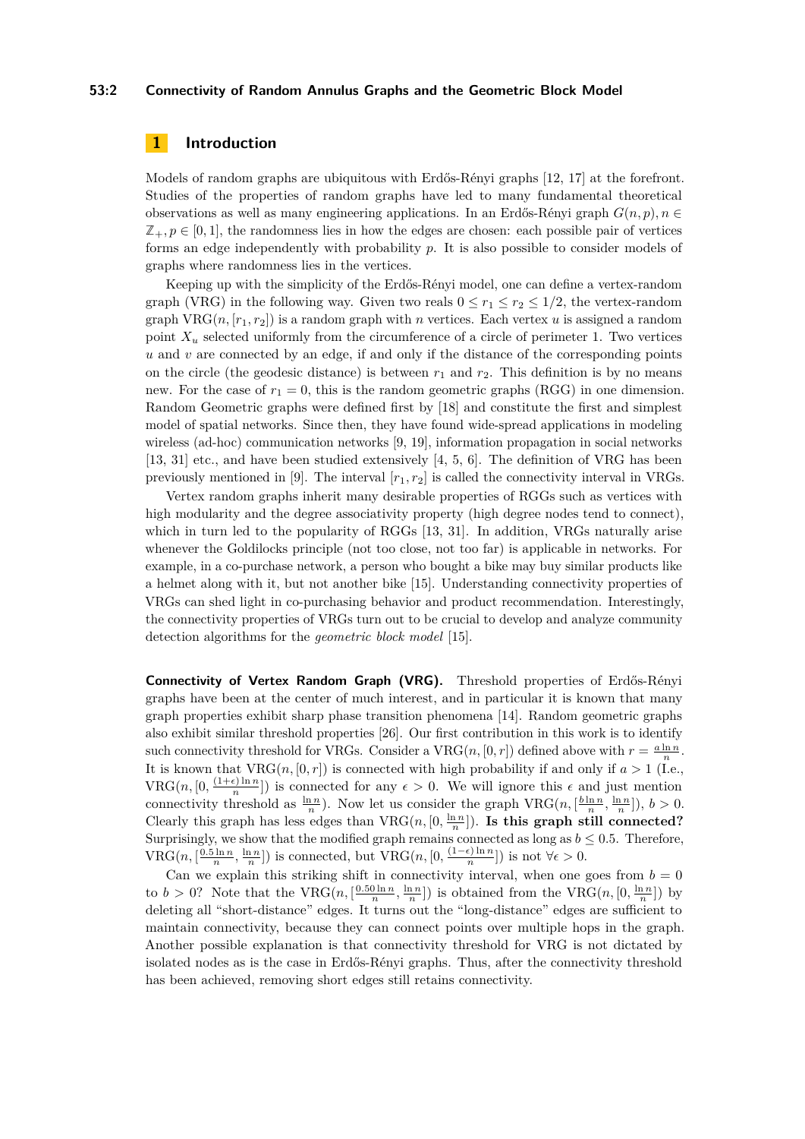## **53:2 Connectivity of Random Annulus Graphs and the Geometric Block Model**

## **1 Introduction**

Models of random graphs are ubiquitous with Erdős-Rényi graphs [\[12,](#page-16-0) [17\]](#page-17-1) at the forefront. Studies of the properties of random graphs have led to many fundamental theoretical observations as well as many engineering applications. In an Erdős-Rényi graph  $G(n, p)$ ,  $n \in$  $\mathbb{Z}_+$ ,  $p \in [0,1]$ , the randomness lies in how the edges are chosen: each possible pair of vertices forms an edge independently with probability *p*. It is also possible to consider models of graphs where randomness lies in the vertices.

Keeping up with the simplicity of the Erdős-Rényi model, one can define a vertex-random graph (VRG) in the following way. Given two reals  $0 \le r_1 \le r_2 \le 1/2$ , the vertex-random graph VRG $(n, [r_1, r_2])$  is a random graph with *n* vertices. Each vertex *u* is assigned a random point  $X_u$  selected uniformly from the circumference of a circle of perimeter 1. Two vertices *u* and *v* are connected by an edge, if and only if the distance of the corresponding points on the circle (the geodesic distance) is between  $r_1$  and  $r_2$ . This definition is by no means new. For the case of  $r_1 = 0$ , this is the random geometric graphs (RGG) in one dimension. Random Geometric graphs were defined first by [\[18\]](#page-17-2) and constitute the first and simplest model of spatial networks. Since then, they have found wide-spread applications in modeling wireless (ad-hoc) communication networks [\[9,](#page-16-1) [19\]](#page-17-3), information propagation in social networks [\[13,](#page-16-2) [31\]](#page-17-4) etc., and have been studied extensively [\[4,](#page-16-3) [5,](#page-16-4) [6\]](#page-16-5). The definition of VRG has been previously mentioned in [\[9\]](#page-16-1). The interval  $[r_1, r_2]$  is called the connectivity interval in VRGs.

Vertex random graphs inherit many desirable properties of RGGs such as vertices with high modularity and the degree associativity property (high degree nodes tend to connect), which in turn led to the popularity of RGGs [\[13,](#page-16-2) [31\]](#page-17-4). In addition, VRGs naturally arise whenever the Goldilocks principle (not too close, not too far) is applicable in networks. For example, in a co-purchase network, a person who bought a bike may buy similar products like a helmet along with it, but not another bike [\[15\]](#page-16-6). Understanding connectivity properties of VRGs can shed light in co-purchasing behavior and product recommendation. Interestingly, the connectivity properties of VRGs turn out to be crucial to develop and analyze community detection algorithms for the *geometric block model* [\[15\]](#page-16-6).

**Connectivity of Vertex Random Graph (VRG).** Threshold properties of Erdős-Rényi graphs have been at the center of much interest, and in particular it is known that many graph properties exhibit sharp phase transition phenomena [\[14\]](#page-16-7). Random geometric graphs also exhibit similar threshold properties [\[26\]](#page-17-5). Our first contribution in this work is to identify such connectivity threshold for VRGs. Consider a VRG $(n, [0, r])$  defined above with  $r = \frac{a \ln n}{n}$ . It is known that  $VRG(n, [0, r])$  is connected with high probability if and only if  $a > 1$  (I.e.,  $VRG(n, [0, \frac{(1+\epsilon)\ln n}{n}])$  $\frac{\epsilon \sin n}{n}$ ) is connected for any  $\epsilon > 0$ . We will ignore this  $\epsilon$  and just mention connectivity threshold as  $\frac{\ln n}{n}$ ). Now let us consider the graph  $\text{VRG}(n, \left[\frac{b \ln n}{n}, \frac{\ln n}{n}\right])$ ,  $b > 0$ . Clearly this graph has less edges than  $VRG(n, [0, \frac{\ln n}{n}])$ . Is this graph still connected? Surprisingly, we show that the modified graph remains connected as long as  $b \leq 0.5$ . Therefore,  $VRG(n, \left[\frac{0.5 \ln n}{n}, \frac{\ln n}{n}\right])$  is connected, but  $VRG(n, \left[0, \frac{(1-\epsilon) \ln n}{n}\right])$  $\frac{\epsilon \sin n}{n}$ ]) is not  $\forall \epsilon > 0$ .

Can we explain this striking shift in connectivity interval, when one goes from  $b = 0$ to  $b > 0$ ? Note that the VRG( $n, \left[\frac{0.50 \ln n}{n}, \frac{\ln n}{n}\right]$ ) is obtained from the VRG( $n, [0, \frac{\ln n}{n}]$ ) by deleting all "short-distance" edges. It turns out the "long-distance" edges are sufficient to maintain connectivity, because they can connect points over multiple hops in the graph. Another possible explanation is that connectivity threshold for VRG is not dictated by isolated nodes as is the case in Erdős-Rényi graphs. Thus, after the connectivity threshold has been achieved, removing short edges still retains connectivity.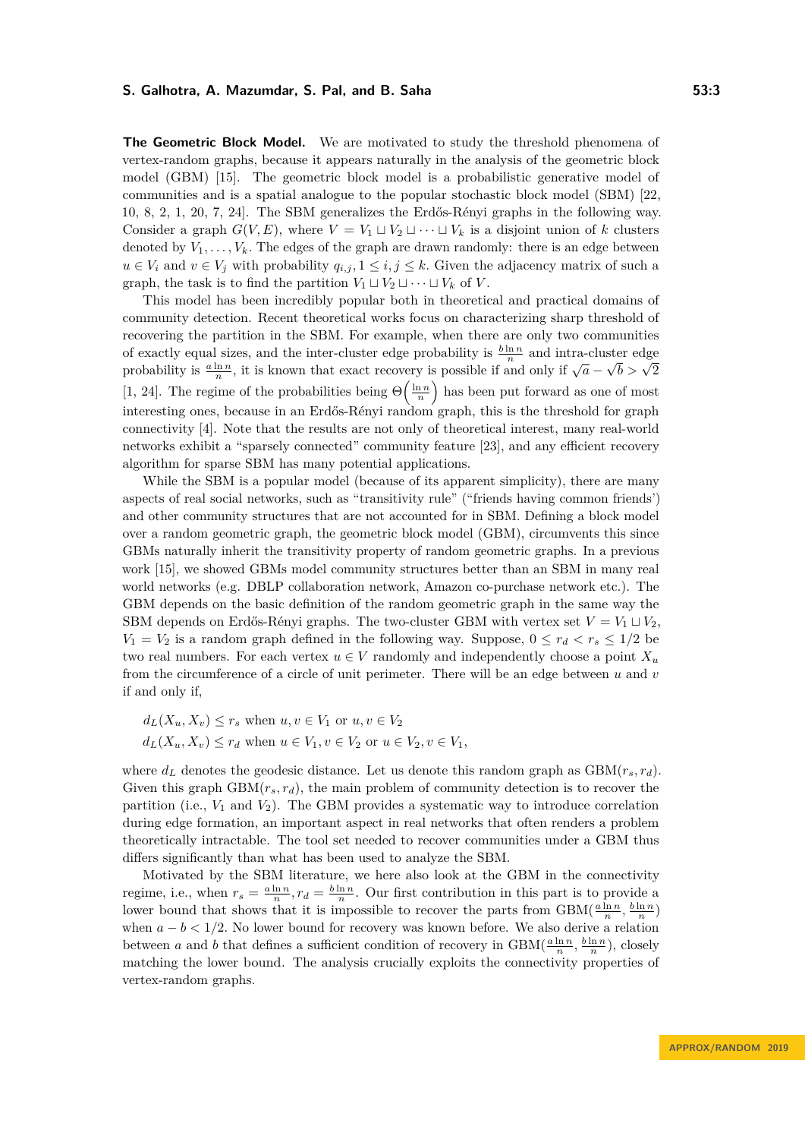**The Geometric Block Model.** We are motivated to study the threshold phenomena of vertex-random graphs, because it appears naturally in the analysis of the geometric block model (GBM) [\[15\]](#page-16-6). The geometric block model is a probabilistic generative model of communities and is a spatial analogue to the popular stochastic block model (SBM) [\[22,](#page-17-6) [10,](#page-16-8) [8,](#page-16-9) [2,](#page-16-10) [1,](#page-16-11) [20,](#page-17-7) [7,](#page-16-12) [24\]](#page-17-8). The SBM generalizes the Erdős-Rényi graphs in the following way. Consider a graph  $G(V, E)$ , where  $V = V_1 \sqcup V_2 \sqcup \cdots \sqcup V_k$  is a disjoint union of k clusters denoted by  $V_1, \ldots, V_k$ . The edges of the graph are drawn randomly: there is an edge between *u* ∈ *V*<sub>*i*</sub> and *v* ∈ *V*<sub>*j*</sub> with probability  $q_{i,j}$ , 1 ≤ *i, j* ≤ *k*. Given the adjacency matrix of such a graph, the task is to find the partition  $V_1 \sqcup V_2 \sqcup \cdots \sqcup V_k$  of *V*.

This model has been incredibly popular both in theoretical and practical domains of community detection. Recent theoretical works focus on characterizing sharp threshold of recovering the partition in the SBM. For example, when there are only two communities of exactly equal sizes, and the inter-cluster edge probability is  $\frac{b \ln n}{n}$  and intra-cluster edge probability is  $\frac{a \ln n}{n}$ , it is known that exact recovery is possible if and only if  $\sqrt{a}$  – ster edge<br> $\sqrt{b} > \sqrt{2}$ [\[1,](#page-16-11) [24\]](#page-17-8). The regime of the probabilities being  $\Theta\left(\frac{\ln n}{n}\right)$  has been put forward as one of most interesting ones, because in an Erdős-Rényi random graph, this is the threshold for graph connectivity [\[4\]](#page-16-3). Note that the results are not only of theoretical interest, many real-world networks exhibit a "sparsely connected" community feature [\[23\]](#page-17-9), and any efficient recovery algorithm for sparse SBM has many potential applications.

While the SBM is a popular model (because of its apparent simplicity), there are many aspects of real social networks, such as "transitivity rule" ("friends having common friends') and other community structures that are not accounted for in SBM. Defining a block model over a random geometric graph, the geometric block model (GBM), circumvents this since GBMs naturally inherit the transitivity property of random geometric graphs. In a previous work [\[15\]](#page-16-6), we showed GBMs model community structures better than an SBM in many real world networks (e.g. DBLP collaboration network, Amazon co-purchase network etc.). The GBM depends on the basic definition of the random geometric graph in the same way the SBM depends on Erdős-Rényi graphs. The two-cluster GBM with vertex set  $V = V_1 \sqcup V_2$ ,  $V_1 = V_2$  is a random graph defined in the following way. Suppose,  $0 \leq r_d < r_s \leq 1/2$  be two real numbers. For each vertex  $u \in V$  randomly and independently choose a point  $X_u$ from the circumference of a circle of unit perimeter. There will be an edge between *u* and *v* if and only if,

$$
d_L(X_u, X_v) \le r_s \text{ when } u, v \in V_1 \text{ or } u, v \in V_2
$$
  

$$
d_L(X_u, X_v) \le r_d \text{ when } u \in V_1, v \in V_2 \text{ or } u \in V_2, v \in V_1,
$$

where  $d_L$  denotes the geodesic distance. Let us denote this random graph as  $GBM(r_s, r_d)$ . Given this graph  $GBM(r<sub>s</sub>, r<sub>d</sub>)$ , the main problem of community detection is to recover the partition (i.e.,  $V_1$  and  $V_2$ ). The GBM provides a systematic way to introduce correlation during edge formation, an important aspect in real networks that often renders a problem theoretically intractable. The tool set needed to recover communities under a GBM thus differs significantly than what has been used to analyze the SBM.

Motivated by the SBM literature, we here also look at the GBM in the connectivity regime, i.e., when  $r_s = \frac{a \ln n}{n}$ ,  $r_d = \frac{b \ln n}{n}$ . Our first contribution in this part is to provide a lower bound that shows that it is impossible to recover the parts from  $GBM(\frac{a \ln n}{n}, \frac{b \ln n}{n})$ when  $a - b < 1/2$ . No lower bound for recovery was known before. We also derive a relation between *a* and *b* that defines a sufficient condition of recovery in  $GBM(\frac{a \ln n}{n}, \frac{b \ln n}{n})$ , closely matching the lower bound. The analysis crucially exploits the connectivity properties of vertex-random graphs.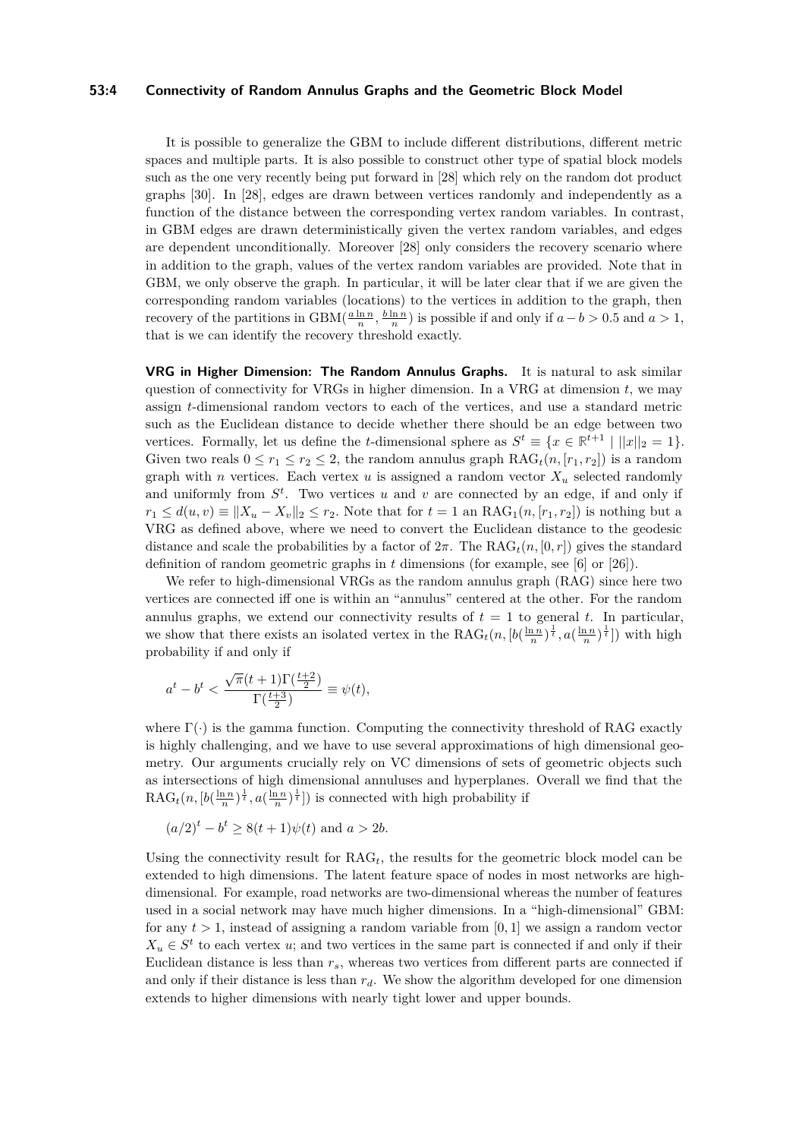#### **53:4 Connectivity of Random Annulus Graphs and the Geometric Block Model**

It is possible to generalize the GBM to include different distributions, different metric spaces and multiple parts. It is also possible to construct other type of spatial block models such as the one very recently being put forward in [\[28\]](#page-17-10) which rely on the random dot product graphs [\[30\]](#page-17-11). In [\[28\]](#page-17-10), edges are drawn between vertices randomly and independently as a function of the distance between the corresponding vertex random variables. In contrast, in GBM edges are drawn deterministically given the vertex random variables, and edges are dependent unconditionally. Moreover [\[28\]](#page-17-10) only considers the recovery scenario where in addition to the graph, values of the vertex random variables are provided. Note that in GBM, we only observe the graph. In particular, it will be later clear that if we are given the corresponding random variables (locations) to the vertices in addition to the graph, then recovery of the partitions in  $GBM(\frac{a \ln n}{n}, \frac{b \ln n}{n})$  is possible if and only if  $a - b > 0.5$  and  $a > 1$ , that is we can identify the recovery threshold exactly.

**VRG in Higher Dimension: The Random Annulus Graphs.** It is natural to ask similar question of connectivity for VRGs in higher dimension. In a VRG at dimension *t*, we may assign *t*-dimensional random vectors to each of the vertices, and use a standard metric such as the Euclidean distance to decide whether there should be an edge between two vertices. Formally, let us define the *t*-dimensional sphere as  $S^t \equiv \{x \in \mathbb{R}^{t+1} \mid ||x||_2 = 1\}.$ Given two reals  $0 \le r_1 \le r_2 \le 2$ , the random annulus graph  $RAG_t(n, [r_1, r_2])$  is a random graph with *n* vertices. Each vertex  $u$  is assigned a random vector  $X_u$  selected randomly and uniformly from  $S^t$ . Two vertices  $u$  and  $v$  are connected by an edge, if and only if  $r_1 \leq d(u, v) \equiv ||X_u - X_v||_2 \leq r_2$ . Note that for  $t = 1$  an RAG<sub>1</sub> $(n, [r_1, r_2])$  is nothing but a VRG as defined above, where we need to convert the Euclidean distance to the geodesic distance and scale the probabilities by a factor of  $2\pi$ . The RAG<sub>t</sub> $(n, [0, r])$  gives the standard definition of random geometric graphs in *t* dimensions (for example, see [\[6\]](#page-16-5) or [\[26\]](#page-17-5)).

We refer to high-dimensional VRGs as the random annulus graph (RAG) since here two vertices are connected iff one is within an "annulus" centered at the other. For the random annulus graphs, we extend our connectivity results of  $t = 1$  to general  $t$ . In particular, we show that there exists an isolated vertex in the  $RAG_t(n, [b(\frac{\ln n}{n})^{\frac{1}{t}}, a(\frac{\ln n}{n})^{\frac{1}{t}}])$  with high probability if and only if

$$
a^t - b^t < \frac{\sqrt{\pi}(t+1)\Gamma(\frac{t+2}{2})}{\Gamma(\frac{t+3}{2})} \equiv \psi(t),
$$

where  $\Gamma(\cdot)$  is the gamma function. Computing the connectivity threshold of RAG exactly is highly challenging, and we have to use several approximations of high dimensional geometry. Our arguments crucially rely on VC dimensions of sets of geometric objects such as intersections of high dimensional annuluses and hyperplanes. Overall we find that the  $\text{RAG}_{t}(n, [b(\frac{\ln n}{n})^{\frac{1}{t}}, a(\frac{\ln n}{n})^{\frac{1}{t}}])$  is connected with high probability if

$$
(a/2)^t - b^t \ge 8(t+1)\psi(t)
$$
 and  $a > 2b$ .

Using the connectivity result for RAG*t*, the results for the geometric block model can be extended to high dimensions. The latent feature space of nodes in most networks are highdimensional. For example, road networks are two-dimensional whereas the number of features used in a social network may have much higher dimensions. In a "high-dimensional" GBM: for any  $t > 1$ , instead of assigning a random variable from [0, 1] we assign a random vector  $X_u \in S^t$  to each vertex *u*; and two vertices in the same part is connected if and only if their Euclidean distance is less than *rs*, whereas two vertices from different parts are connected if and only if their distance is less than *rd*. We show the algorithm developed for one dimension extends to higher dimensions with nearly tight lower and upper bounds.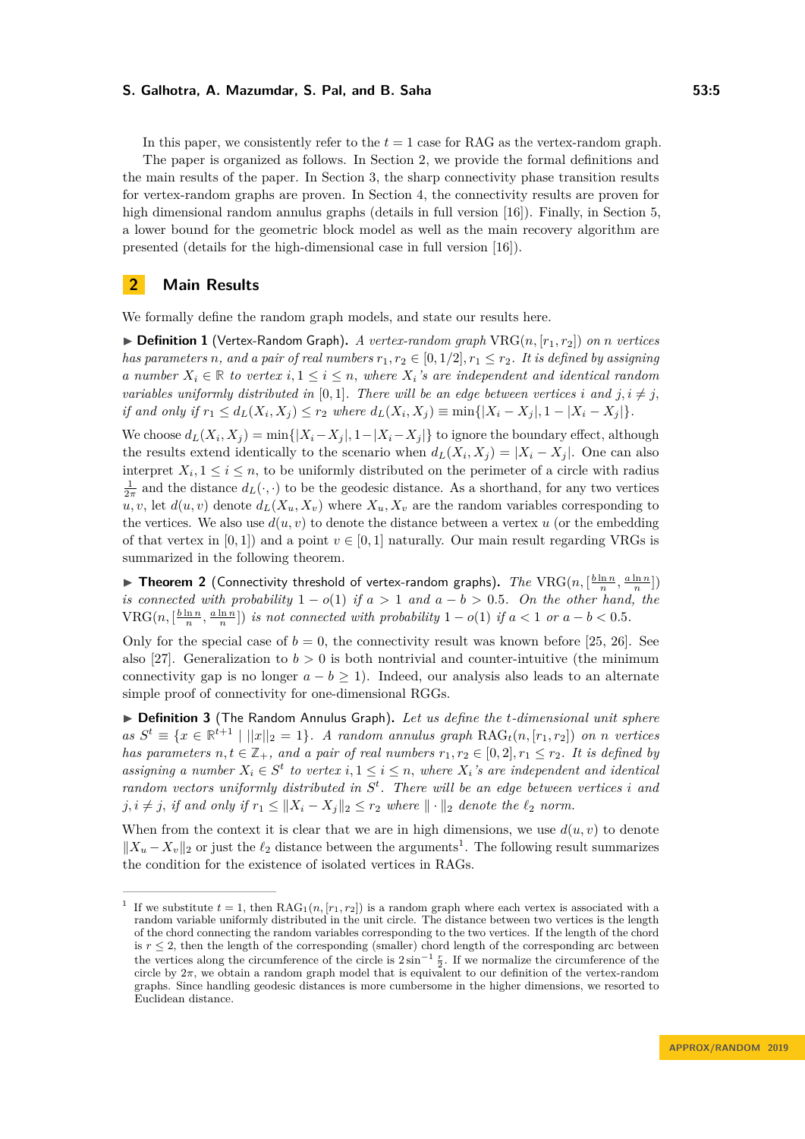In this paper, we consistently refer to the  $t = 1$  case for RAG as the vertex-random graph. The paper is organized as follows. In Section [2,](#page-4-0) we provide the formal definitions and the main results of the paper. In Section [3,](#page-6-0) the sharp connectivity phase transition results for vertex-random graphs are proven. In Section [4,](#page-10-0) the connectivity results are proven for high dimensional random annulus graphs (details in full version [\[16\]](#page-17-0)). Finally, in Section [5,](#page-11-0) a lower bound for the geometric block model as well as the main recovery algorithm are presented (details for the high-dimensional case in full version [\[16\]](#page-17-0)).

## <span id="page-4-0"></span>**2 Main Results**

We formally define the random graph models, and state our results here.

 $\triangleright$  **Definition 1** (Vertex-Random Graph). A vertex-random graph VRG $(n, [r_1, r_2])$  on *n* vertices *has parameters n,* and a pair of real numbers  $r_1, r_2 \in [0, 1/2], r_1 \leq r_2$ *. It is defined by assigning a number*  $X_i \in \mathbb{R}$  *to vertex*  $i, 1 \leq i \leq n$ , where  $X_i$ 's are independent and identical random *variables uniformly distributed in* [0,1]. There will be an edge between vertices *i* and  $j, i \neq j$ , if and only if  $r_1 \leq d_L(X_i, X_j) \leq r_2$  where  $d_L(X_i, X_j) \equiv \min\{|X_i - X_j|, 1 - |X_i - X_j|\}.$ 

We choose  $d_L(X_i, X_j) = \min\{|X_i - X_j|, 1 - |X_i - X_j|\}$  to ignore the boundary effect, although the results extend identically to the scenario when  $d_L(X_i, X_j) = |X_i - X_j|$ . One can also interpret  $X_i, 1 \leq i \leq n$ , to be uniformly distributed on the perimeter of a circle with radius  $\frac{1}{2\pi}$  and the distance  $d_L(\cdot, \cdot)$  to be the geodesic distance. As a shorthand, for any two vertices  $u, v$ , let  $d(u, v)$  denote  $d_L(X_u, X_v)$  where  $X_u, X_v$  are the random variables corresponding to the vertices. We also use  $d(u, v)$  to denote the distance between a vertex  $u$  (or the embedding of that vertex in [0, 1]) and a point  $v \in [0, 1]$  naturally. Our main result regarding VRGs is summarized in the following theorem.

<span id="page-4-2"></span> $\blacktriangleright$  **Theorem 2** (Connectivity threshold of vertex-random graphs). *The* VRG $(n, [\frac{b \ln n}{n}, \frac{a \ln n}{n}])$ *is connected with probability*  $1 - o(1)$  *if*  $a > 1$  *and*  $a - b > 0.5$ *. On the other hand, the*  $VRG(n, [\frac{b \ln n}{n}, \frac{a \ln n}{n}])$  *is not connected with probability*  $1 - o(1)$  *if*  $a < 1$  *or*  $a - b < 0.5$ *.* 

Only for the special case of  $b = 0$ , the connectivity result was known before [\[25,](#page-17-12) [26\]](#page-17-5). See also [\[27\]](#page-17-13). Generalization to  $b > 0$  is both nontrivial and counter-intuitive (the minimum connectivity gap is no longer  $a - b \ge 1$ ). Indeed, our analysis also leads to an alternate simple proof of connectivity for one-dimensional RGGs.

▶ **Definition 3** (The Random Annulus Graph). Let us define the *t*-dimensional unit sphere *as*  $S^t$  ≡ { $x \in \mathbb{R}^{t+1}$  | || $x|_{2} = 1$ }*. A random annulus graph* RAG<sub>t</sub>(*n,* [ $r_1, r_2$ ]) *on n vertices has parameters*  $n, t \in \mathbb{Z}_+$ *, and a pair of real numbers*  $r_1, r_2 \in [0, 2], r_1 \leq r_2$ *. It is defined by assigning a number*  $X_i \in S^t$  *to vertex*  $i, 1 \leq i \leq n$ , where  $X_i$ 's are independent and identical *random vectors uniformly distributed in S t . There will be an edge between vertices i and*  $j, i \neq j$ , *if and only if*  $r_1 \leq ||X_i - X_j||_2 \leq r_2$  *where*  $|| \cdot ||_2$  *denote the*  $\ell_2$  *norm.* 

When from the context it is clear that we are in high dimensions, we use  $d(u, v)$  to denote  $||X_u - X_v||_2$  or just the  $\ell_2$  distance between the arguments<sup>[1](#page-4-1)</sup>. The following result summarizes the condition for the existence of isolated vertices in RAGs.

<span id="page-4-1"></span><sup>&</sup>lt;sup>1</sup> If we substitute  $t = 1$ , then RAG<sub>1</sub> $(n, [r_1, r_2])$  is a random graph where each vertex is associated with a random variable uniformly distributed in the unit circle. The distance between two vertices is the length of the chord connecting the random variables corresponding to the two vertices. If the length of the chord is  $r < 2$ , then the length of the corresponding (smaller) chord length of the corresponding arc between the vertices along the circumference of the circle is  $2 \sin^{-1} \frac{r}{2}$ . If we normalize the circumference of the circle by  $2\pi$ , we obtain a random graph model that is equivalent to our definition of the vertex-random graphs. Since handling geodesic distances is more cumbersome in the higher dimensions, we resorted to Euclidean distance.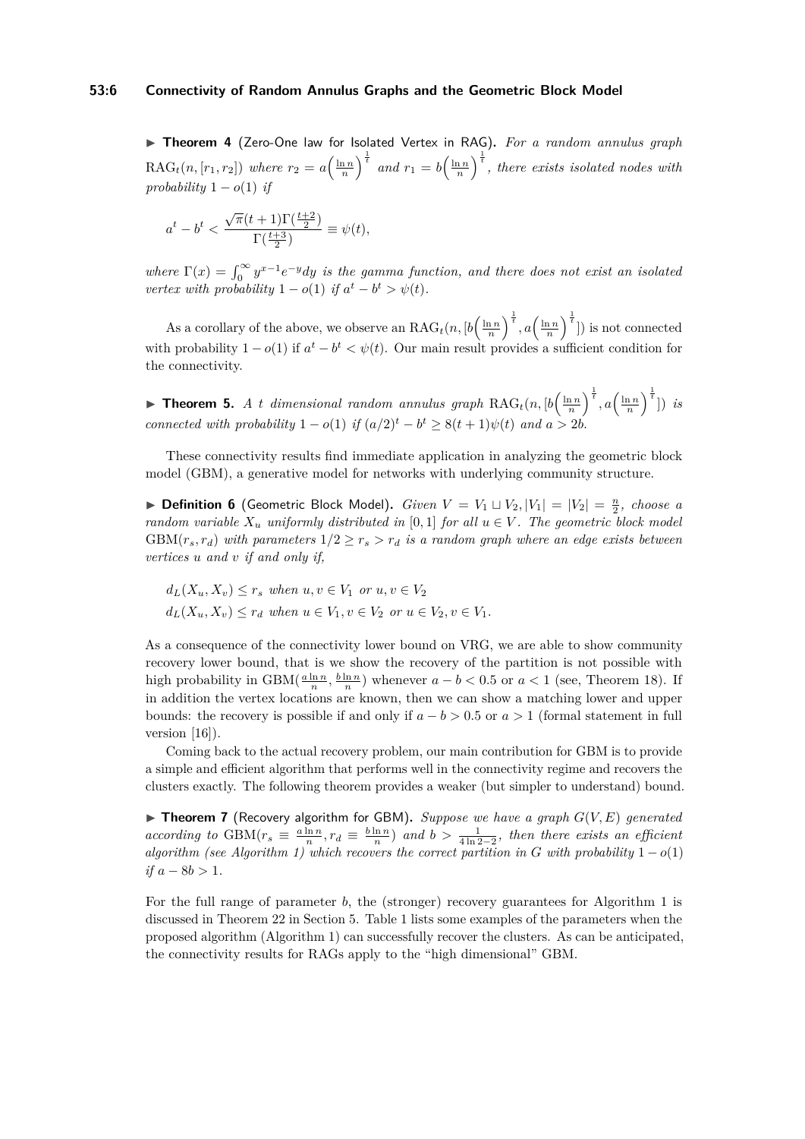▶ Theorem 4 (Zero-One law for Isolated Vertex in RAG). For a random annulus graph  $RAG_t(n,[r_1,r_2])$  where  $r_2 = a\left(\frac{\ln n}{n}\right)^{\frac{1}{t}}$  and  $r_1 = b\left(\frac{\ln n}{n}\right)^{\frac{1}{t}}$ , there exists isolated nodes with *probability*  $1 - o(1)$  *if* 

$$
a^t-b^t<\frac{\sqrt{\pi}(t+1)\Gamma(\frac{t+2}{2})}{\Gamma(\frac{t+3}{2})}\equiv\psi(t),
$$

*where*  $\Gamma(x) = \int_0^\infty y^{x-1} e^{-y} dy$  *is the gamma function, and there does not exist an isolated vertex with probability*  $1 - o(1)$  *if*  $a^t - b^t > \psi(t)$ *.* 

As a corollary of the above, we observe an  $\text{RAG}_t(n, \left[b\left(\frac{\ln n}{n}\right)^{\frac{1}{t}}, a\left(\frac{\ln n}{n}\right)^{\frac{1}{t}}\right])$  is not connected with probability  $1 - o(1)$  if  $a^t - b^t < \psi(t)$ . Our main result provides a sufficient condition for the connectivity.

<span id="page-5-0"></span>**Fineorem 5.** *A t* dimensional random annulus graph  $\text{RAG}_t(n, [b\left(\frac{\ln n}{n}\right)^{\frac{1}{t}}, a\left(\frac{\ln n}{n}\right)^{\frac{1}{t}}])$  is *connected with probability*  $1 - o(1)$  *if*  $(a/2)^t - b^t \geq 8(t+1)\psi(t)$  *and*  $a > 2b$ .

These connectivity results find immediate application in analyzing the geometric block model (GBM), a generative model for networks with underlying community structure.

**Definition 6** (Geometric Block Model). *Given*  $V = V_1 \sqcup V_2, |V_1| = |V_2| = \frac{n}{2}$ , choose a *random variable*  $X_u$  *uniformly distributed in* [0,1] *for all*  $u \in V$ *. The geometric block model* GBM( $r_s$ ,  $r_d$ ) with parameters  $1/2 \ge r_s > r_d$  is a random graph where an edge exists between *vertices u and v if and only if,*

 $d_L(X_u, X_v) \leq r_s$  *when*  $u, v \in V_1$  *or*  $u, v \in V_2$  $d_L(X_u, X_v) \leq r_d$  *when*  $u \in V_1, v \in V_2$  *or*  $u \in V_2, v \in V_1$ .

As a consequence of the connectivity lower bound on VRG, we are able to show community recovery lower bound, that is we show the recovery of the partition is not possible with high probability in  $GBM(\frac{a \ln n}{n}, \frac{b \ln n}{n})$  whenever  $a - b < 0.5$  or  $a < 1$  (see, Theorem [18\)](#page-11-1). If in addition the vertex locations are known, then we can show a matching lower and upper bounds: the recovery is possible if and only if  $a - b > 0.5$  or  $a > 1$  (formal statement in full version [\[16\]](#page-17-0)).

Coming back to the actual recovery problem, our main contribution for GBM is to provide a simple and efficient algorithm that performs well in the connectivity regime and recovers the clusters exactly. The following theorem provides a weaker (but simpler to understand) bound.

<span id="page-5-1"></span>▶ **Theorem 7** (Recovery algorithm for GBM). *Suppose we have a graph*  $G(V, E)$  generated *according to* GBM( $r_s \equiv \frac{a \ln n}{n}$ ,  $r_d \equiv \frac{b \ln n}{n}$ ) *and*  $b > \frac{1}{4 \ln 2 - 2}$ , *then there exists an efficient algorithm (see Algorithm [1\)](#page-13-0)* which recovers the correct partition in *G* with probability  $1 - o(1)$ *if*  $a − 8b > 1$ *.* 

For the full range of parameter *b*, the (stronger) recovery guarantees for Algorithm [1](#page-13-0) is discussed in Theorem [22](#page-15-0) in Section [5.](#page-11-0) Table [1](#page-6-1) lists some examples of the parameters when the proposed algorithm (Algorithm [1\)](#page-13-0) can successfully recover the clusters. As can be anticipated, the connectivity results for RAGs apply to the "high dimensional" GBM.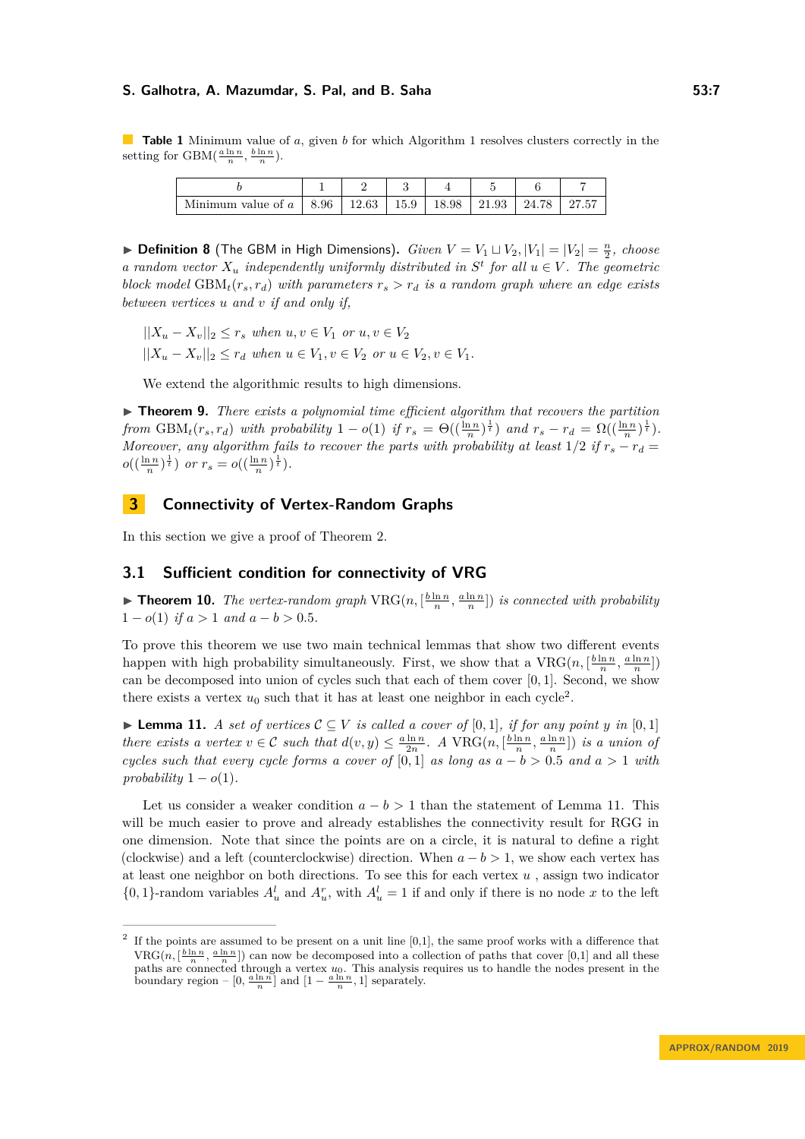<span id="page-6-1"></span>**Table 1** Minimum value of *a*, given *b* for which Algorithm [1](#page-13-0) resolves clusters correctly in the setting for  $GBM(\frac{a \ln n}{n}, \frac{b \ln n}{n}).$ 

| Minimum value of a   8.96   12.63   15.9   18.98   21.93   24.78   27.57 |  |  |  |  |
|--------------------------------------------------------------------------|--|--|--|--|

 $\blacktriangleright$  **Definition 8** (The GBM in High Dimensions). *Given*  $V = V_1 \sqcup V_2$ ,  $|V_1| = |V_2| = \frac{n}{2}$ , *choose a* random vector  $X_u$  independently uniformly distributed in  $S^t$  for all  $u \in V$ . The geometric *block model* GBM<sub>*t*</sub>( $r_s$ , $r_d$ ) *with parameters*  $r_s > r_d$  *is a random graph where an edge exists between vertices u and v if and only if,*

 $||X_u - X_v||_2 \leq r_s$  *when*  $u, v \in V_1$  *or*  $u, v \in V_2$ 

 $||X_u - X_v||_2 \le r_d$  *when*  $u \in V_1, v \in V_2$  *or*  $u \in V_2, v \in V_1$ .

We extend the algorithmic results to high dimensions.

 $\triangleright$  **Theorem 9.** *There exists a polynomial time efficient algorithm that recovers the partition* from  $GBM_t(r_s, r_d)$  with probability  $1 - o(1)$  if  $r_s = \Theta((\frac{\ln n}{n})^{\frac{1}{t}})$  and  $r_s - r_d = \Omega((\frac{\ln n}{n})^{\frac{1}{t}})$ . *Moreover, any algorithm fails to recover the parts with probability at least*  $1/2$  *if*  $r_s - r_d =$  $o((\frac{\ln n}{n})^{\frac{1}{t}})$  *or*  $r_s = o((\frac{\ln n}{n})^{\frac{1}{t}})$ *.* 

## <span id="page-6-0"></span>**3 Connectivity of Vertex-Random Graphs**

In this section we give a proof of Theorem [2.](#page-4-2)

## **3.1 Sufficient condition for connectivity of VRG**

<span id="page-6-4"></span>**Find 10.** *The vertex-random graph*  $VRG(n, \left[\frac{b \ln n}{n}, \frac{a \ln n}{n}\right])$  *is connected with probability*  $1 - o(1)$  *if*  $a > 1$  *and*  $a - b > 0.5$ *.* 

To prove this theorem we use two main technical lemmas that show two different events happen with high probability simultaneously. First, we show that a  $VRG(n, \left[\frac{b \ln n}{n}, \frac{a \ln n}{n}\right])$ can be decomposed into union of cycles such that each of them cover  $[0, 1]$ . Second, we show there exists a vertex  $u_0$  such that it has at least one neighbor in each cycle<sup>[2](#page-6-2)</sup>.

<span id="page-6-3"></span>▶ **Lemma 11.** *A set of vertices*  $C ⊆ V$  *is called a cover of* [0*,* 1]*, if for any point y in* [0*,* 1] there exists a vertex  $v \in C$  such that  $d(v, y) \leq \frac{a \ln n}{2n}$ . A VRG $(n, [\frac{b \ln n}{n}, \frac{a \ln n}{n}])$  is a union of *cycles such that every cycle forms a cover of* [0,1] *as long as*  $a - b > 0.5$  *and*  $a > 1$  *with*  $\text{probability } 1 - o(1)$ .

Let us consider a weaker condition  $a - b > 1$  than the statement of Lemma [11.](#page-6-3) This will be much easier to prove and already establishes the connectivity result for RGG in one dimension. Note that since the points are on a circle, it is natural to define a right (clockwise) and a left (counterclockwise) direction. When  $a - b > 1$ , we show each vertex has at least one neighbor on both directions. To see this for each vertex *u* , assign two indicator  $\{0, 1\}$ -random variables  $A_u^l$  and  $A_u^r$ , with  $A_u^l = 1$  if and only if there is no node x to the left

<span id="page-6-2"></span><sup>&</sup>lt;sup>2</sup> If the points are assumed to be present on a unit line [0,1], the same proof works with a difference that  $VRG(n, \left[\frac{b \ln n}{n}, \frac{a \ln n}{n}\right])$  can now be decomposed into a collection of paths that cover [0,1] and all these paths are connected through a vertex *u*0. This analysis requires us to handle the nodes present in the boundary region –  $[0, \frac{a \ln n}{n}]$  and  $[1 - \frac{a \ln n}{n}, 1]$  separately.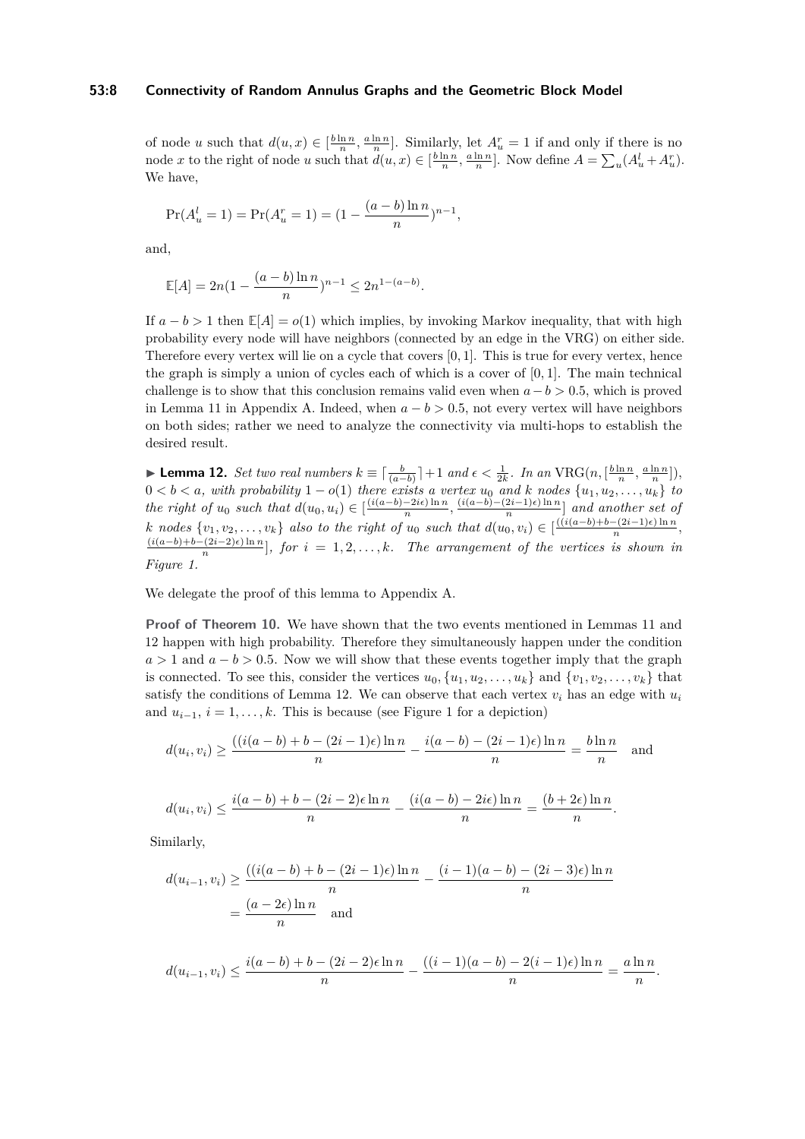## **53:8 Connectivity of Random Annulus Graphs and the Geometric Block Model**

of node *u* such that  $d(u, x) \in \left[\frac{b \ln n}{n}, \frac{a \ln n}{n}\right]$ . Similarly, let  $A_u^r = 1$  if and only if there is no node x to the right of node u such that  $d(u, x) \in [\frac{b \ln n}{n}, \frac{a \ln n}{n}]$ . Now define  $A = \sum_u (A_u^l + A_u^r)$ . We have,

$$
Pr(A_u^l = 1) = Pr(A_u^r = 1) = (1 - \frac{(a - b)\ln n}{n})^{n-1},
$$

and,

$$
\mathbb{E}[A] = 2n(1 - \frac{(a-b)\ln n}{n})^{n-1} \le 2n^{1-(a-b)}.
$$

If  $a - b > 1$  then  $\mathbb{E}[A] = o(1)$  which implies, by invoking Markov inequality, that with high probability every node will have neighbors (connected by an edge in the VRG) on either side. Therefore every vertex will lie on a cycle that covers [0*,* 1]. This is true for every vertex, hence the graph is simply a union of cycles each of which is a cover of [0*,* 1]. The main technical challenge is to show that this conclusion remains valid even when  $a - b > 0.5$ , which is proved in Lemma [11](#page-6-3) in Appendix [A.](#page-17-14) Indeed, when  $a - b > 0.5$ , not every vertex will have neighbors on both sides; rather we need to analyze the connectivity via multi-hops to establish the desired result.

<span id="page-7-0"></span>**Lemma 12.** Set two real numbers  $k \equiv \lceil \frac{b}{(a-b)} \rceil + 1$  and  $\epsilon < \frac{1}{2k}$ . In an VRG $(n, \lceil \frac{b \ln n}{n}, \frac{a \ln n}{n} \rceil)$ ,  $0 < b < a$ , with probability  $1 - o(1)$  there exists a vertex  $u_0$  and  $k$  nodes  $\{u_1, u_2, \ldots, u_k\}$  to *the right of*  $u_0$  *such that*  $d(u_0, u_i) \in \left[\frac{(i(a-b)-2i\epsilon) \ln n}{n}\right]$  $\frac{-2i\epsilon \ln n}{n}, \frac{(i(a-b)-(2i-1)\epsilon)\ln n}{n}$  $\left[\frac{2i-1}{n}\right]$  *and another set of* k nodes  $\{v_1, v_2, \ldots, v_k\}$  also to the right of  $u_0$  such that  $d(u_0, v_i) \in \left[\frac{((i(a-b)+b-(2i-1)\epsilon)\ln n + (n-1)\epsilon)}{n}\right]$  $\frac{n}{(2i-1)\epsilon}$  in *n*<sub>,</sub> (*i*(*a*−*b*)+*b*−(2*i*−2)) ln *n*  $\binom{n}{n}$ , for  $i = 1, 2, \ldots, k$ *. The arrangement of the vertices is shown in Figure [1.](#page-8-0)*

We delegate the proof of this lemma to Appendix [A.](#page-17-14)

**Proof of Theorem [10.](#page-6-4)** We have shown that the two events mentioned in Lemmas [11](#page-6-3) and [12](#page-7-0) happen with high probability. Therefore they simultaneously happen under the condition  $a > 1$  and  $a - b > 0.5$ . Now we will show that these events together imply that the graph is connected. To see this, consider the vertices  $u_0, \{u_1, u_2, \ldots, u_k\}$  and  $\{v_1, v_2, \ldots, v_k\}$  that satisfy the conditions of Lemma [12.](#page-7-0) We can observe that each vertex  $v_i$  has an edge with  $u_i$ and  $u_{i-1}$ ,  $i = 1, \ldots, k$  $i = 1, \ldots, k$  $i = 1, \ldots, k$ . This is because (see Figure 1 for a depiction)

$$
d(u_i, v_i) \ge \frac{((i(a-b)+b-(2i-1)\epsilon)\ln n}{n} - \frac{i(a-b)-(2i-1)\epsilon)\ln n}{n} = \frac{b\ln n}{n}
$$
 and

$$
d(u_i,v_i) \leq \frac{i(a-b)+b-(2i-2)\epsilon \ln n}{n} - \frac{(i(a-b)-2i\epsilon)\ln n}{n} = \frac{(b+2\epsilon)\ln n}{n}.
$$

Similarly,

$$
d(u_{i-1}, v_i) \ge \frac{((i(a-b)+b-(2i-1)\epsilon)\ln n}{n} - \frac{(i-1)(a-b)-(2i-3)\epsilon)\ln n}{n}
$$

$$
= \frac{(a-2\epsilon)\ln n}{n} \quad \text{and}
$$

$$
d(u_{i-1}, v_i) \le \frac{i(a-b)+b - (2i-2)\epsilon \ln n}{n} - \frac{((i-1)(a-b)-2(i-1)\epsilon) \ln n}{n} = \frac{a \ln n}{n}.
$$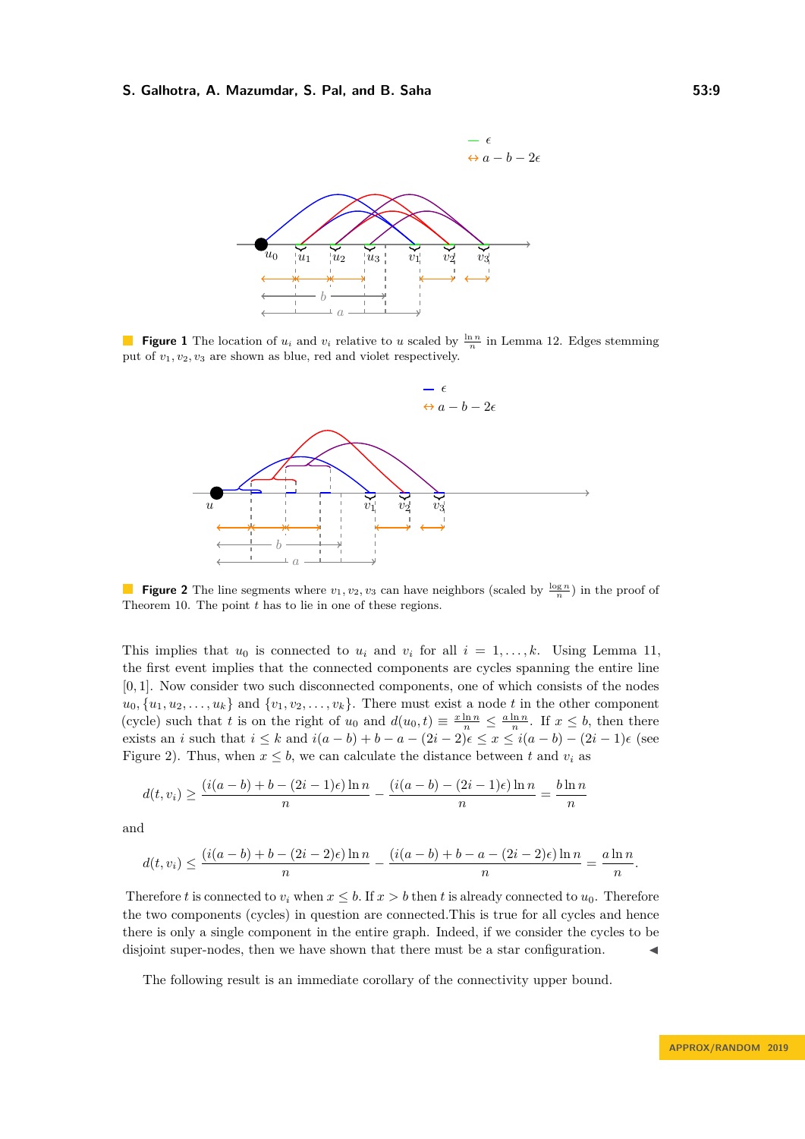<span id="page-8-0"></span>

<span id="page-8-1"></span>**Figure 1** The location of  $u_i$  and  $v_i$  relative to *u* scaled by  $\frac{\ln n}{n}$  in Lemma [12.](#page-7-0) Edges stemming put of *v*1*, v*2*, v*<sup>3</sup> are shown as blue, red and violet respectively.



**Figure 2** The line segments where  $v_1, v_2, v_3$  can have neighbors (scaled by  $\frac{\log n}{n}$ ) in the proof of Theorem [10.](#page-6-4) The point *t* has to lie in one of these regions.

This implies that  $u_0$  is connected to  $u_i$  and  $v_i$  for all  $i = 1, \ldots, k$ . Using Lemma [11,](#page-6-3) the first event implies that the connected components are cycles spanning the entire line [0*,* 1]. Now consider two such disconnected components, one of which consists of the nodes  $u_0, \{u_1, u_2, \ldots, u_k\}$  and  $\{v_1, v_2, \ldots, v_k\}$ . There must exist a node *t* in the other component (cycle) such that *t* is on the right of  $u_0$  and  $d(u_0, t) \equiv \frac{x \ln n}{n} \leq \frac{a \ln n}{n}$ . If  $x \leq b$ , then there exists an *i* such that  $i \leq k$  and  $i(a - b) + b - a - (2i - 2)\epsilon \leq x \leq i(a - b) - (2i - 1)\epsilon$  (see Figure [2\)](#page-8-1). Thus, when  $x \leq b$ , we can calculate the distance between t and  $v_i$  as

$$
d(t, v_i) \ge \frac{(i(a - b) + b - (2i - 1)\epsilon) \ln n}{n} - \frac{(i(a - b) - (2i - 1)\epsilon) \ln n}{n} = \frac{b \ln n}{n}
$$

and

$$
d(t,v_i) \leq \frac{(i(a-b)+b-(2i-2)\epsilon)\ln n}{n} - \frac{(i(a-b)+b-a-(2i-2)\epsilon)\ln n}{n} = \frac{a\ln n}{n}.
$$

Therefore *t* is connected to  $v_i$  when  $x \leq b$ . If  $x > b$  then *t* is already connected to  $u_0$ . Therefore the two components (cycles) in question are connected.This is true for all cycles and hence there is only a single component in the entire graph. Indeed, if we consider the cycles to be disjoint super-nodes, then we have shown that there must be a star configuration.

<span id="page-8-2"></span>The following result is an immediate corollary of the connectivity upper bound.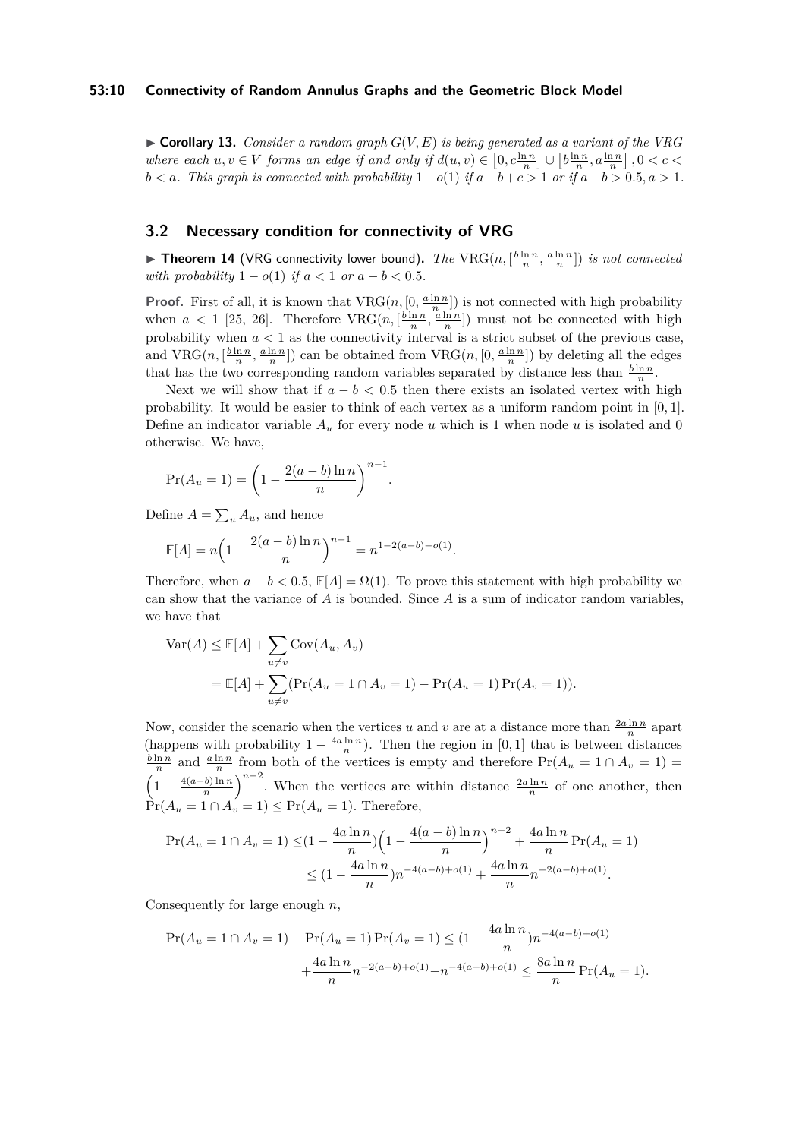## **53:10 Connectivity of Random Annulus Graphs and the Geometric Block Model**

 $\triangleright$  **Corollary 13.** *Consider a random graph*  $G(V, E)$  *is being generated as a variant of the VRG* where each  $u, v \in V$  forms an edge if and only if  $d(u, v) \in [0, c\frac{\ln n}{n}] \cup [b\frac{\ln n}{n}, a\frac{\ln n}{n}]$ ,  $0 < c <$ *b*  $< a$ *. This graph is connected with probability*  $1-o(1)$  *if*  $a−b+ c>1$  *or if*  $a−b>0.5, a>1$ *.* 

## **3.2 Necessary condition for connectivity of VRG**

<span id="page-9-0"></span>**Fineorem 14** (VRG connectivity lower bound). *The*  $\text{VRG}(n, [\frac{b \ln n}{n}, \frac{a \ln n}{n}])$  *is not connected with probability*  $1 - o(1)$  *if*  $a < 1$  *or*  $a - b < 0.5$ *.* 

**Proof.** First of all, it is known that  $VRG(n, [0, \frac{a \ln n}{n}]$  is not connected with high probability when  $a < 1$  [\[25,](#page-17-12) [26\]](#page-17-5). Therefore  $VRG(n, \left[\frac{b \ln n}{n}, \frac{a \ln n}{n}\right])$  must not be connected with high probability when  $a < 1$  as the connectivity interval is a strict subset of the previous case, and  $VRG(n, \left[\frac{b\ln n}{n}, \frac{a\ln n}{n}\right])$  can be obtained from  $VRG(n, [0, \frac{a\ln n}{n}])$  by deleting all the edges that has the two corresponding random variables separated by distance less than  $\frac{b \ln n}{n}$ .

Next we will show that if  $a - b < 0.5$  then there exists an isolated vertex with high probability. It would be easier to think of each vertex as a uniform random point in [0*,* 1]. Define an indicator variable  $A_u$  for every node *u* which is 1 when node *u* is isolated and 0 otherwise. We have,

$$
Pr(A_u = 1) = \left(1 - \frac{2(a - b)\ln n}{n}\right)^{n-1}.
$$

Define  $A = \sum_{u} A_u$ , and hence

$$
\mathbb{E}[A] = n\left(1 - \frac{2(a-b)\ln n}{n}\right)^{n-1} = n^{1-2(a-b)-o(1)}.
$$

Therefore, when  $a - b < 0.5$ ,  $\mathbb{E}[A] = \Omega(1)$ . To prove this statement with high probability we can show that the variance of *A* is bounded. Since *A* is a sum of indicator random variables, we have that

$$
\begin{aligned} \text{Var}(A) &\leq \mathbb{E}[A] + \sum_{u \neq v} \text{Cov}(A_u, A_v) \\ &= \mathbb{E}[A] + \sum_{u \neq v} (\text{Pr}(A_u = 1 \cap A_v = 1) - \text{Pr}(A_u = 1) \,\text{Pr}(A_v = 1)). \end{aligned}
$$

Now, consider the scenario when the vertices *u* and *v* are at a distance more than  $\frac{2a \ln n}{n}$  apart (happens with probability  $1 - \frac{4a \ln n}{n}$ ). Then the region in [0, 1] that is between distances  $\frac{b \ln n}{n}$  and  $\frac{a \ln n}{n}$  from both of the vertices is empty and therefore  $Pr(A_u = 1 \cap A_v = 1)$  $\left(1 - \frac{4(a-b)\ln n}{n}\right)$  $\left(\frac{b}{n}\right)^{n-2}$ . When the vertices are within distance  $\frac{2a \ln n}{n}$  of one another, then  $\Pr(A_u = 1 \cap A_v = 1) \leq \Pr(A_u = 1)$ . Therefore,

$$
\Pr(A_u = 1 \cap A_v = 1) \leq (1 - \frac{4a \ln n}{n}) \left( 1 - \frac{4(a - b) \ln n}{n} \right)^{n-2} + \frac{4a \ln n}{n} \Pr(A_u = 1)
$$
  

$$
\leq (1 - \frac{4a \ln n}{n}) n^{-4(a - b) + o(1)} + \frac{4a \ln n}{n} n^{-2(a - b) + o(1)}.
$$

Consequently for large enough *n*,

$$
\Pr(A_u = 1 \cap A_v = 1) - \Pr(A_u = 1)\Pr(A_v = 1) \le (1 - \frac{4a \ln n}{n})n^{-4(a-b)+o(1)} + \frac{4a \ln n}{n}n^{-2(a-b)+o(1)} - n^{-4(a-b)+o(1)} \le \frac{8a \ln n}{n}\Pr(A_u = 1).
$$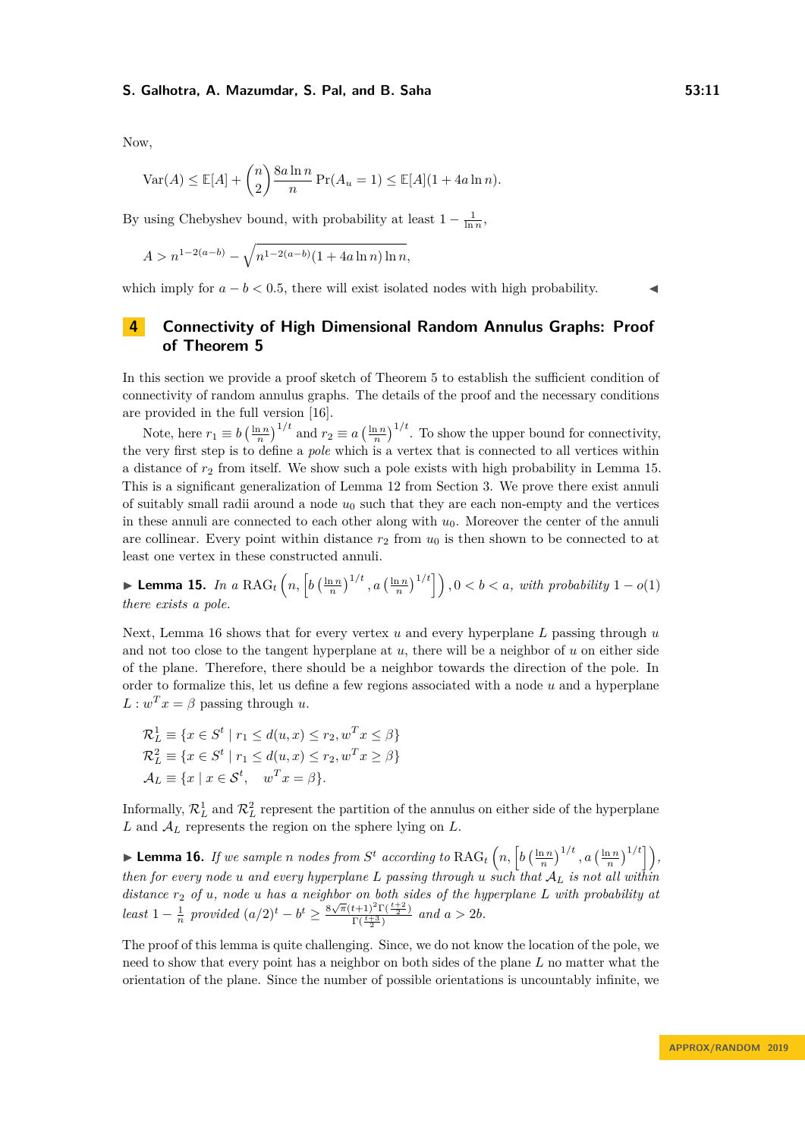Now,

$$
\text{Var}(A) \le \mathbb{E}[A] + \binom{n}{2} \frac{8a \ln n}{n} \Pr(A_u = 1) \le \mathbb{E}[A](1 + 4a \ln n).
$$

By using Chebyshev bound, with probability at least  $1 - \frac{1}{\ln n}$ ,

$$
A > n^{1-2(a-b)} - \sqrt{n^{1-2(a-b)}(1+4a\ln n)\ln n},
$$

which imply for  $a - b < 0.5$ , there will exist isolated nodes with high probability.

## <span id="page-10-0"></span>**4 Connectivity of High Dimensional Random Annulus Graphs: Proof of Theorem [5](#page-5-0)**

In this section we provide a proof sketch of Theorem [5](#page-5-0) to establish the sufficient condition of connectivity of random annulus graphs. The details of the proof and the necessary conditions are provided in the full version [\[16\]](#page-17-0).

Note, here  $r_1 \equiv b \left(\frac{\ln n}{n}\right)^{1/t}$  and  $r_2 \equiv a \left(\frac{\ln n}{n}\right)^{1/t}$ . To show the upper bound for connectivity, the very first step is to define a *pole* which is a vertex that is connected to all vertices within a distance of  $r<sub>2</sub>$  from itself. We show such a pole exists with high probability in Lemma [15.](#page-10-1) This is a significant generalization of Lemma [12](#page-7-0) from Section [3.](#page-6-0) We prove there exist annuli of suitably small radii around a node  $u_0$  such that they are each non-empty and the vertices in these annuli are connected to each other along with  $u_0$ . Moreover the center of the annuli are collinear. Every point within distance  $r_2$  from  $u_0$  is then shown to be connected to at least one vertex in these constructed annuli.

<span id="page-10-1"></span>▶ Lemma 15. *In a* RAG<sub>t</sub>  $\left(n, \left[b\left(\frac{\ln n}{n}\right)^{1/t}, a\left(\frac{\ln n}{n}\right)^{1/t}\right]\right), 0 < b < a$ , with probability 1 − *o*(1) *there exists a pole.*

Next, Lemma [16](#page-10-2) shows that for every vertex *u* and every hyperplane *L* passing through *u* and not too close to the tangent hyperplane at *u*, there will be a neighbor of *u* on either side of the plane. Therefore, there should be a neighbor towards the direction of the pole. In order to formalize this, let us define a few regions associated with a node *u* and a hyperplane  $L: w^T x = \beta$  passing through *u*.

$$
\mathcal{R}_L^1 \equiv \{x \in S^t \mid r_1 \le d(u, x) \le r_2, w^T x \le \beta\}
$$
  
\n
$$
\mathcal{R}_L^2 \equiv \{x \in S^t \mid r_1 \le d(u, x) \le r_2, w^T x \ge \beta\}
$$
  
\n
$$
\mathcal{A}_L \equiv \{x \mid x \in S^t, w^T x = \beta\}.
$$

Informally,  $\mathcal{R}_L^1$  and  $\mathcal{R}_L^2$  represent the partition of the annulus on either side of the hyperplane  $L$  and  $A_L$  represents the region on the sphere lying on  $L$ .

<span id="page-10-2"></span>**Example** *n nodes from*  $S^t$  *according to*  $\text{RAG}_t\left(n, \left[b\left(\frac{\ln n}{n}\right)^{1/t}, a\left(\frac{\ln n}{n}\right)^{1/t}\right]\right)$ , *then for every node u and every hyperplane L passing through u such that* A*<sup>L</sup> is not all within distance r*<sup>2</sup> *of u, node u has a neighbor on both sides of the hyperplane L with probability at least*  $1 - \frac{1}{n}$  *provided*  $(a/2)^t - b^t \geq \frac{8\sqrt{\pi}(t+1)^2\Gamma(\frac{t+2}{2})}{\Gamma(\frac{t+3}{2})}$  $\frac{a+1}{\Gamma(\frac{t+3}{2})}$  and  $a > 2b$ .

The proof of this lemma is quite challenging. Since, we do not know the location of the pole, we need to show that every point has a neighbor on both sides of the plane *L* no matter what the orientation of the plane. Since the number of possible orientations is uncountably infinite, we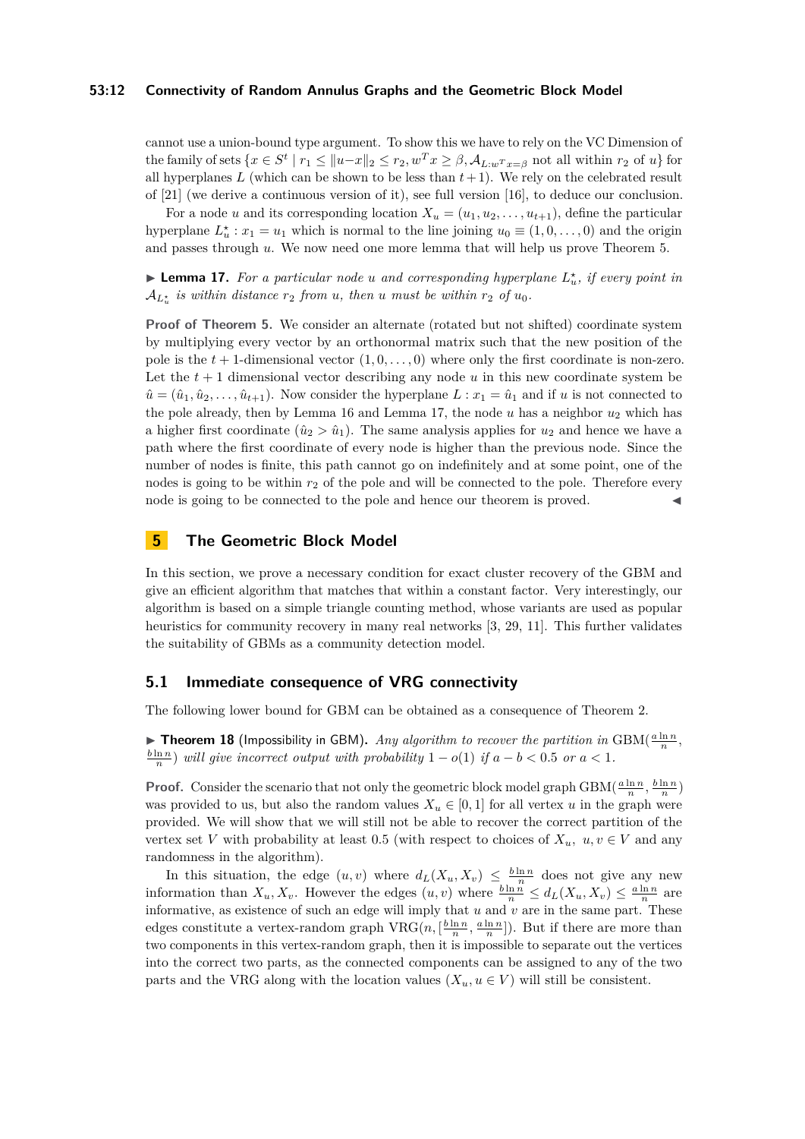## **53:12 Connectivity of Random Annulus Graphs and the Geometric Block Model**

cannot use a union-bound type argument. To show this we have to rely on the VC Dimension of the family of sets  $\{x \in S^t \mid r_1 \leq ||u-x||_2 \leq r_2, w^T x \geq \beta, A_{L:w^T x = \beta} \text{ not all within } r_2 \text{ of } u\}$  for all hyperplanes  $L$  (which can be shown to be less than  $t+1$ ). We rely on the celebrated result of [\[21\]](#page-17-15) (we derive a continuous version of it), see full version [\[16\]](#page-17-0), to deduce our conclusion.

For a node *u* and its corresponding location  $X_u = (u_1, u_2, \ldots, u_{t+1})$ , define the particular hyperplane  $L_u^*$ :  $x_1 = u_1$  which is normal to the line joining  $u_0 \equiv (1, 0, \ldots, 0)$  and the origin and passes through *u*. We now need one more lemma that will help us prove Theorem [5.](#page-5-0)

<span id="page-11-2"></span>**Example 17.** For a particular node *u* and corresponding hyperplane  $L_u^*$ , if every point in  $\mathcal{A}_{L^*_{u}}$  *is within distance*  $r_2$  *from u*, *then u must be within*  $r_2$  *of u*<sub>0</sub>*.* 

**Proof of Theorem [5.](#page-5-0)** We consider an alternate (rotated but not shifted) coordinate system by multiplying every vector by an orthonormal matrix such that the new position of the pole is the  $t + 1$ -dimensional vector  $(1, 0, \ldots, 0)$  where only the first coordinate is non-zero. Let the  $t + 1$  dimensional vector describing any node  $u$  in this new coordinate system be  $\hat{u} = (\hat{u}_1, \hat{u}_2, \dots, \hat{u}_{t+1})$ . Now consider the hyperplane  $L : x_1 = \hat{u}_1$  and if *u* is not connected to the pole already, then by Lemma [16](#page-10-2) and Lemma [17,](#page-11-2) the node *u* has a neighbor *u*<sup>2</sup> which has a higher first coordinate  $(\hat{u}_2 > \hat{u}_1)$ . The same analysis applies for  $u_2$  and hence we have a path where the first coordinate of every node is higher than the previous node. Since the number of nodes is finite, this path cannot go on indefinitely and at some point, one of the nodes is going to be within  $r_2$  of the pole and will be connected to the pole. Therefore every node is going to be connected to the pole and hence our theorem is proved.

## <span id="page-11-0"></span>**5 The Geometric Block Model**

In this section, we prove a necessary condition for exact cluster recovery of the GBM and give an efficient algorithm that matches that within a constant factor. Very interestingly, our algorithm is based on a simple triangle counting method, whose variants are used as popular heuristics for community recovery in many real networks [\[3,](#page-16-13) [29,](#page-17-16) [11\]](#page-16-14). This further validates the suitability of GBMs as a community detection model.

## **5.1 Immediate consequence of VRG connectivity**

<span id="page-11-1"></span>The following lower bound for GBM can be obtained as a consequence of Theorem [2.](#page-4-2)

**Fineorem 18** (Impossibility in GBM). *Any algorithm to recover the partition in* GBM( $\frac{a \ln n}{n}$ ,  $\frac{b \ln n}{n}$ ) *will give incorrect output with probability* 1 − *o*(1) *if*  $a - b < 0.5$  *or*  $a < 1$ *.* 

**Proof.** Consider the scenario that not only the geometric block model graph GBM( $\frac{a \ln n}{n}$ ,  $\frac{b \ln n}{n}$ ) was provided to us, but also the random values  $X_u \in [0,1]$  for all vertex *u* in the graph were provided. We will show that we will still not be able to recover the correct partition of the vertex set *V* with probability at least 0.5 (with respect to choices of  $X_u$ ,  $u, v \in V$  and any randomness in the algorithm).

In this situation, the edge  $(u, v)$  where  $d_L(X_u, X_v) \leq \frac{b \ln n}{n}$  does not give any new information than  $X_u, X_v$ . However the edges  $(u, v)$  where  $\frac{b \ln n}{n} \leq d_L(X_u, X_v) \leq \frac{a \ln n}{n}$  are informative, as existence of such an edge will imply that *u* and *v* are in the same part. These edges constitute a vertex-random graph  $VRG(n, \left[\frac{b \ln n}{n}, \frac{a \ln n}{n}\right])$ . But if there are more than two components in this vertex-random graph, then it is impossible to separate out the vertices into the correct two parts, as the connected components can be assigned to any of the two parts and the VRG along with the location values  $(X_u, u \in V)$  will still be consistent.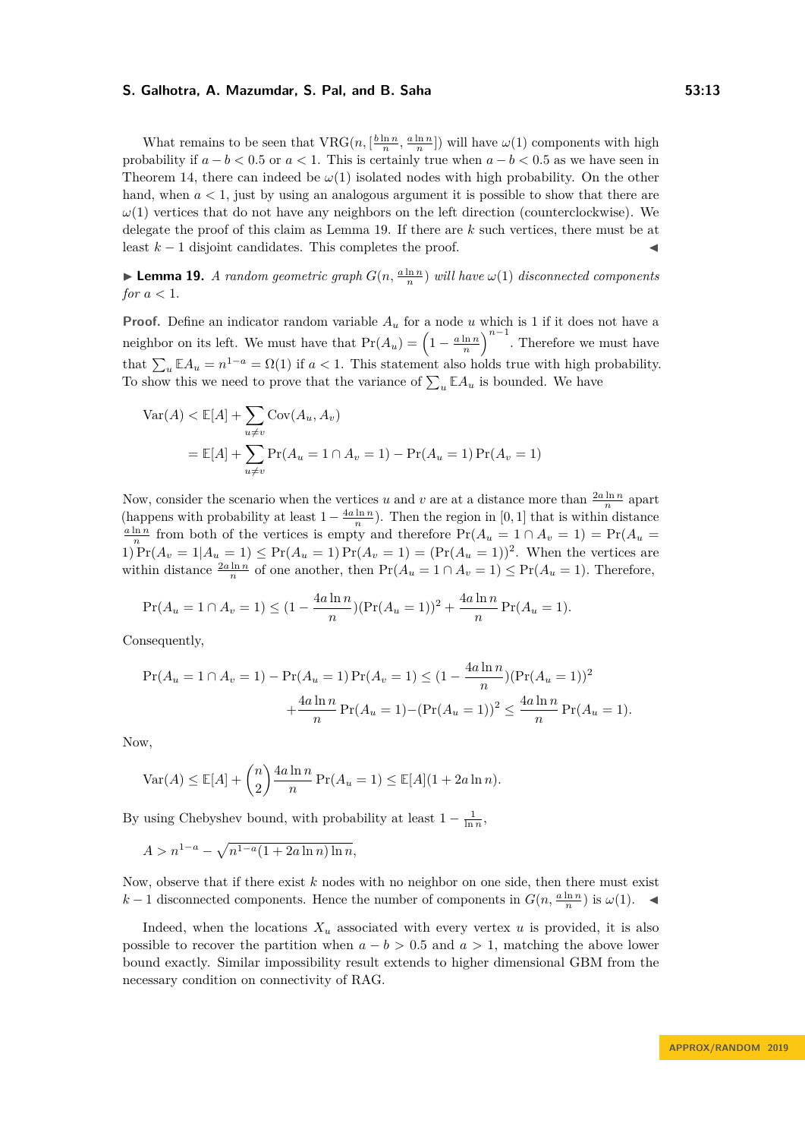What remains to be seen that  $VRG(n, \left[\frac{b \ln n}{n}, \frac{a \ln n}{n}\right])$  will have  $\omega(1)$  components with high probability if  $a - b < 0.5$  or  $a < 1$ . This is certainly true when  $a - b < 0.5$  as we have seen in Theorem [14,](#page-9-0) there can indeed be  $\omega(1)$  isolated nodes with high probability. On the other hand, when  $a < 1$ , just by using an analogous argument it is possible to show that there are *ω*(1) vertices that do not have any neighbors on the left direction (counterclockwise). We delegate the proof of this claim as Lemma [19.](#page-12-0) If there are *k* such vertices, there must be at least  $k-1$  disjoint candidates. This completes the proof.

<span id="page-12-0"></span>**Lemma 19.** *A random geometric graph*  $G(n, \frac{a \ln n}{n})$  *will have*  $\omega(1)$  *disconnected components for*  $a < 1$ *.* 

**Proof.** Define an indicator random variable *A<sup>u</sup>* for a node *u* which is 1 if it does not have a neighbor on its left. We must have that  $Pr(A_u) = \left(1 - \frac{a \ln n}{n}\right)^{n-1}$ . Therefore we must have that  $\sum_{u} \mathbb{E}A_u = n^{1-a} = \Omega(1)$  if  $a < 1$ . This statement also holds true with high probability. To show this we need to prove that the variance of  $\sum_{u} \mathbb{E} A_u$  is bounded. We have

$$
Var(A) < E[A] + \sum_{u \neq v} Cov(A_u, A_v)
$$
  
=  $E[A] + \sum_{u \neq v} Pr(A_u = 1 \cap A_v = 1) - Pr(A_u = 1) Pr(A_v = 1)$ 

Now, consider the scenario when the vertices *u* and *v* are at a distance more than  $\frac{2a \ln n}{n}$  apart (happens with probability at least  $1-\frac{4a\ln n}{n}$ ). Then the region in [0, 1] that is within distance (happens with probability at least  $1-\frac{4a\ln n}{n}$ ).  $\frac{a \ln n}{n}$  from both of the vertices is empty and therefore  $Pr(A_u = 1 \cap A_v = 1) = Pr(A_u = 1)$ 1)  $Pr(A_v = 1 | A_u = 1) \leq Pr(A_u = 1) Pr(A_v = 1) = (Pr(A_u = 1))^2$ . When the vertices are within distance  $\frac{2a \ln n}{n}$  of one another, then  $Pr(A_u = 1 \cap A_v = 1) \le Pr(A_u = 1)$ . Therefore,

$$
\Pr(A_u = 1 \cap A_v = 1) \le (1 - \frac{4a \ln n}{n}) (\Pr(A_u = 1))^2 + \frac{4a \ln n}{n} \Pr(A_u = 1).
$$

Consequently,

$$
\Pr(A_u = 1 \cap A_v = 1) - \Pr(A_u = 1) \Pr(A_v = 1) \le (1 - \frac{4a \ln n}{n}) (\Pr(A_u = 1))^2
$$

$$
+ \frac{4a \ln n}{n} \Pr(A_u = 1) - (\Pr(A_u = 1))^2 \le \frac{4a \ln n}{n} \Pr(A_u = 1).
$$

Now,

$$
\text{Var}(A) \le \mathbb{E}[A] + \binom{n}{2} \frac{4a \ln n}{n} \Pr(A_u = 1) \le \mathbb{E}[A](1 + 2a \ln n).
$$

By using Chebyshev bound, with probability at least  $1 - \frac{1}{\ln n}$ ,

$$
A > n^{1-a} - \sqrt{n^{1-a}(1 + 2a\ln n)\ln n},
$$

Now, observe that if there exist *k* nodes with no neighbor on one side, then there must exist *k* − 1 disconnected components. Hence the number of components in  $G(n, \frac{a \ln n}{n})$  is  $\omega(1)$ .  $\blacktriangleleft$ 

Indeed, when the locations  $X_u$  associated with every vertex *u* is provided, it is also possible to recover the partition when  $a - b > 0.5$  and  $a > 1$ , matching the above lower bound exactly. Similar impossibility result extends to higher dimensional GBM from the necessary condition on connectivity of RAG.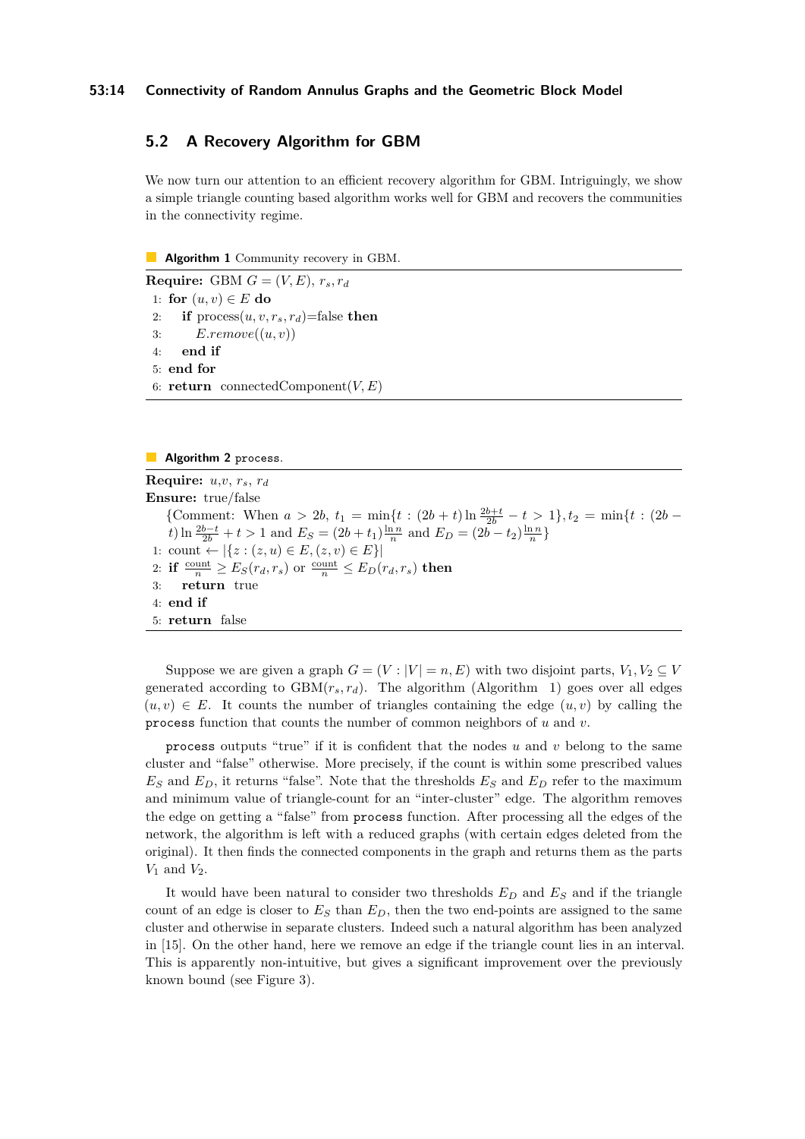## **5.2 A Recovery Algorithm for GBM**

We now turn our attention to an efficient recovery algorithm for GBM. Intriguingly, we show a simple triangle counting based algorithm works well for GBM and recovers the communities in the connectivity regime.

<span id="page-13-0"></span>**Algorithm 1** Community recovery in GBM.

**Require:** GBM  $G = (V, E), r_s, r_d$ 1: **for**  $(u, v) \in E$  **do** 2: **if**  $\text{process}(u, v, r_s, r_d) = \text{false}$  **then** 3: *E.remove*((*u, v*)) 4: **end if** 5: **end for** 6: **return** connectedComponent(*V, E*)

#### **Algorithm 2** process.

**Require:** *u*,*v*, *rs*, *r<sup>d</sup>* **Ensure:** true/false {Comment: When  $a > 2b$ ,  $t_1 = \min\{t : (2b + t)\ln \frac{2b+t}{2b} - t > 1\}$ ,  $t_2 = \min\{t : (2b - t)\ln \frac{2b+t}{2b} - t \}$ *t*) ln  $\frac{2b-t}{2b} + t > 1$  and  $E_S = (2b + t_1) \frac{\ln n}{n}$  and  $E_D = (2b - t_2) \frac{\ln n}{n}$ 1: count ←  $|\{z : (z, u) \in E, (z, v) \in E\}|$ 2: **if**  $\frac{\text{count}}{n} \ge E_S(r_d, r_s)$  or  $\frac{\text{count}}{n} \le E_D(r_d, r_s)$  then 3: **return** true 4: **end if** 5: **return** false

Suppose we are given a graph  $G = (V : |V| = n, E)$  with two disjoint parts,  $V_1, V_2 \subseteq V$ generated according to  $GBM(r_s, r_d)$ . The algorithm (Algorithm [1\)](#page-13-0) goes over all edges  $(u, v) \in E$ . It counts the number of triangles containing the edge  $(u, v)$  by calling the process function that counts the number of common neighbors of *u* and *v*.

process outputs "true" if it is confident that the nodes *u* and *v* belong to the same cluster and "false" otherwise. More precisely, if the count is within some prescribed values  $E_S$  and  $E_D$ , it returns "false". Note that the thresholds  $E_S$  and  $E_D$  refer to the maximum and minimum value of triangle-count for an "inter-cluster" edge. The algorithm removes the edge on getting a "false" from process function. After processing all the edges of the network, the algorithm is left with a reduced graphs (with certain edges deleted from the original). It then finds the connected components in the graph and returns them as the parts  $V_1$  and  $V_2$ .

It would have been natural to consider two thresholds *E<sup>D</sup>* and *E<sup>S</sup>* and if the triangle count of an edge is closer to  $E<sub>S</sub>$  than  $E<sub>D</sub>$ , then the two end-points are assigned to the same cluster and otherwise in separate clusters. Indeed such a natural algorithm has been analyzed in [\[15\]](#page-16-6). On the other hand, here we remove an edge if the triangle count lies in an interval. This is apparently non-intuitive, but gives a significant improvement over the previously known bound (see Figure [3\)](#page-14-0).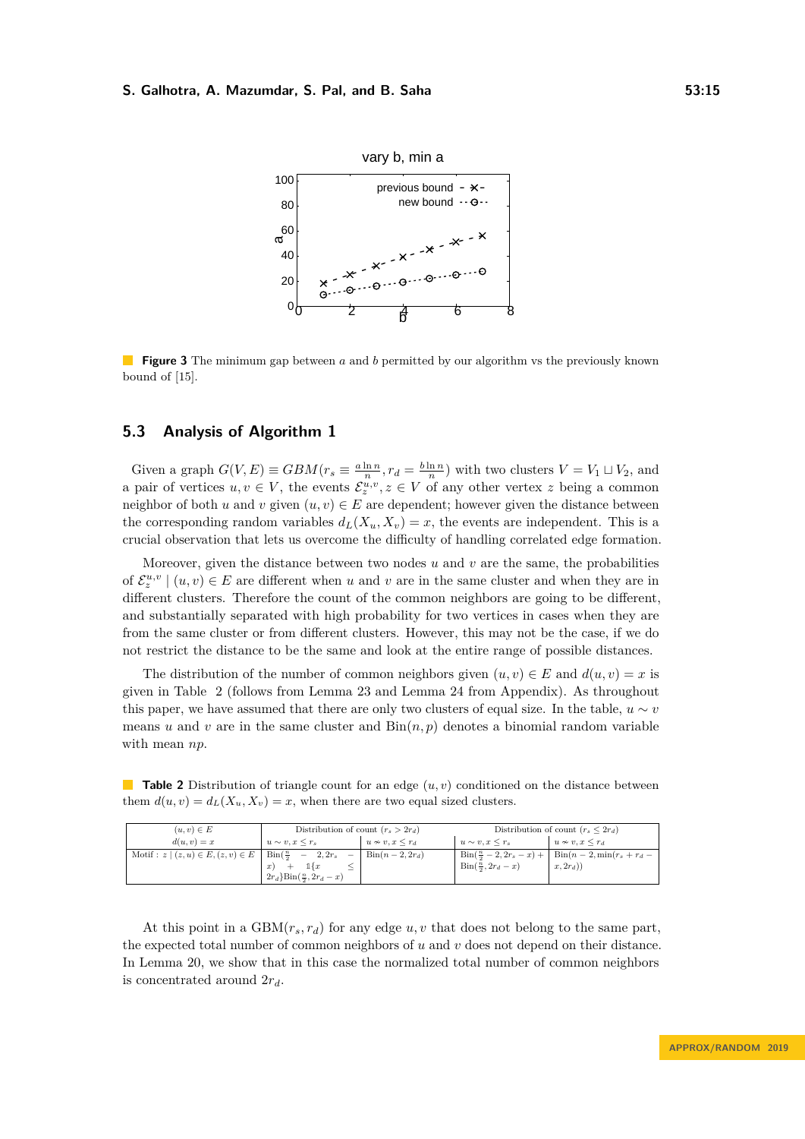<span id="page-14-0"></span>

**Figure 3** The minimum gap between *a* and *b* permitted by our algorithm vs the previously known bound of [\[15\]](#page-16-6).

## **5.3 Analysis of Algorithm [1](#page-13-0)**

Given a graph  $G(V, E) \equiv GBM(r_s \equiv \frac{a \ln n}{n}, r_d = \frac{b \ln n}{n})$  with two clusters  $V = V_1 \sqcup V_2$ , and a pair of vertices  $u, v \in V$ , the events  $\mathcal{E}_z^{u,v}, z \in V$  of any other vertex z being a common neighbor of both *u* and *v* given  $(u, v) \in E$  are dependent; however given the distance between the corresponding random variables  $d_L(X_u, X_v) = x$ , the events are independent. This is a crucial observation that lets us overcome the difficulty of handling correlated edge formation.

Moreover, given the distance between two nodes *u* and *v* are the same, the probabilities of  $\mathcal{E}_z^{u,v} \mid (u, v) \in E$  are different when *u* and *v* are in the same cluster and when they are in different clusters. Therefore the count of the common neighbors are going to be different, and substantially separated with high probability for two vertices in cases when they are from the same cluster or from different clusters. However, this may not be the case, if we do not restrict the distance to be the same and look at the entire range of possible distances.

The distribution of the number of common neighbors given  $(u, v) \in E$  and  $d(u, v) = x$  is given in Table [2](#page-14-1) (follows from Lemma [23](#page-21-0) and Lemma [24](#page-21-1) from Appendix). As throughout this paper, we have assumed that there are only two clusters of equal size. In the table,  $u \sim v$ means *u* and *v* are in the same cluster and  $\text{Bin}(n, p)$  denotes a binomial random variable with mean *np*.

<span id="page-14-1"></span>**Table 2** Distribution of triangle count for an edge  $(u, v)$  conditioned on the distance between them  $d(u, v) = d<sub>L</sub>(X<sub>u</sub>, X<sub>v</sub>) = x$ , when there are two equal sized clusters.

| $(u, v) \in E$                                                        | Distribution of count $(r_s > 2r_d)$  |                         | Distribution of count $(r_s \leq 2r_d)$     |                                                                            |  |
|-----------------------------------------------------------------------|---------------------------------------|-------------------------|---------------------------------------------|----------------------------------------------------------------------------|--|
| $d(u, v) = x$                                                         | $u \sim v, x \leq r_s$                | $u \nsim v, x \leq r_d$ | $u \sim v, x \leq r_s$                      | $u \nsim v, x \leq r_d$                                                    |  |
| Motif: $z (z, u) \in E, (z, v) \in E$   Bin $(\frac{n}{2} - 2, 2r_s)$ |                                       | $\text{Bin}(n-2, 2r_d)$ |                                             | $\text{Bin}(\frac{n}{2} - 2, 2r_s - x) + \text{Bin}(n-2, \min(r_s + r_d -$ |  |
|                                                                       | $\mathbb{1}\{x$<br>x)                 |                         | $\operatorname{Bin}(\frac{n}{2}, 2r_d - x)$ | $x, 2r_d$ )                                                                |  |
|                                                                       | $2r_d$ }Bin $(\frac{n}{2}, 2r_d - x)$ |                         |                                             |                                                                            |  |

At this point in a  $GBM(r_s, r_d)$  for any edge  $u, v$  that does not belong to the same part, the expected total number of common neighbors of *u* and *v* does not depend on their distance. In Lemma [20,](#page-15-1) we show that in this case the normalized total number of common neighbors is concentrated around 2*rd*.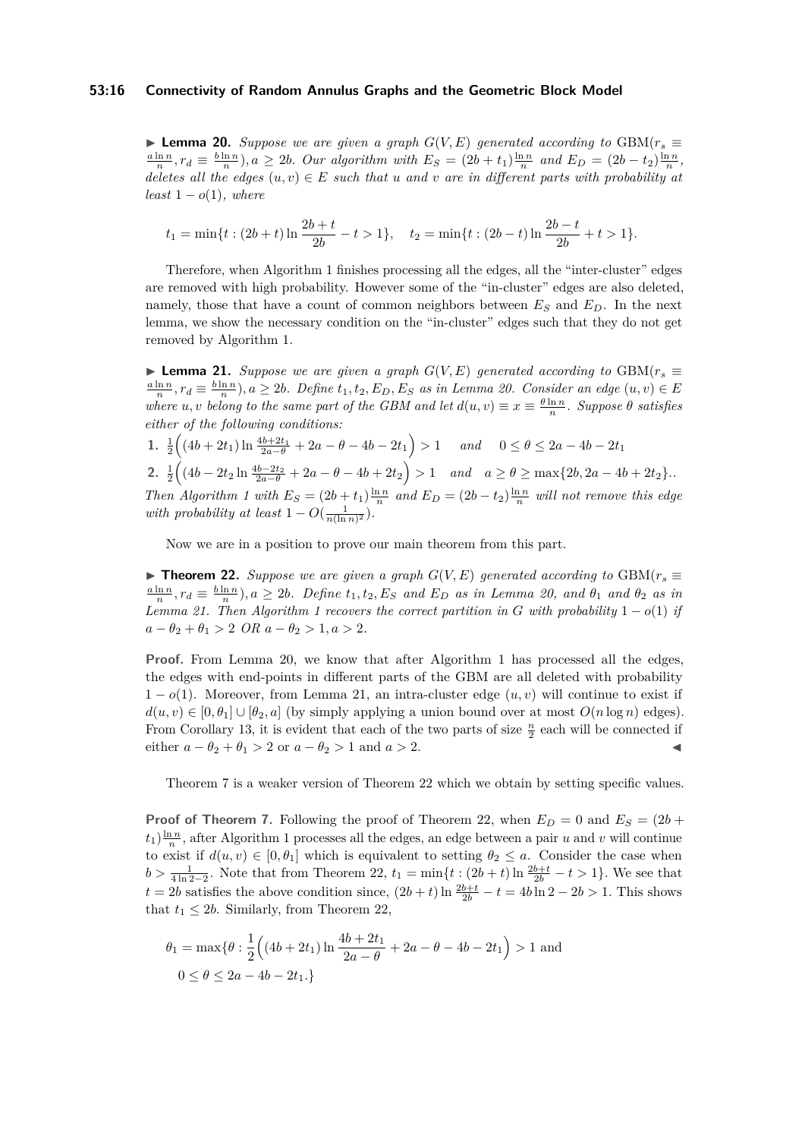## **53:16 Connectivity of Random Annulus Graphs and the Geometric Block Model**

<span id="page-15-1"></span>▶ **Lemma 20.** *Suppose we are given a graph*  $G(V, E)$  generated according to GBM( $r_s$   $\equiv$  $\frac{a \ln n}{n}$ ,  $r_d \equiv \frac{b \ln n}{n}$ ,  $a \ge 2b$ . Our algorithm with  $E_S = (2b + t_1) \frac{\ln n}{n}$  and  $E_D = (2b - t_2) \frac{\ln n}{n}$ , *deletes all the edges*  $(u, v) \in E$  *such that u and v are in different parts with probability at*  $least 1-o(1), where$ 

$$
t_1 = \min\{t : (2b+t)\ln\frac{2b+t}{2b} - t > 1\}, \quad t_2 = \min\{t : (2b-t)\ln\frac{2b-t}{2b} + t > 1\}.
$$

Therefore, when Algorithm [1](#page-13-0) finishes processing all the edges, all the "inter-cluster" edges are removed with high probability. However some of the "in-cluster" edges are also deleted, namely, those that have a count of common neighbors between  $E<sub>S</sub>$  and  $E<sub>D</sub>$ . In the next lemma, we show the necessary condition on the "in-cluster" edges such that they do not get removed by Algorithm [1.](#page-13-0)

<span id="page-15-2"></span>**► Lemma 21.** Suppose we are given a graph  $G(V, E)$  generated according to GBM( $r_s$ )  $\frac{a \ln n}{n}$ ,  $r_d \equiv \frac{b \ln n}{n}$ ,  $a \ge 2b$ . Define  $t_1, t_2, E_D, E_S$  as in Lemma [20.](#page-15-1) Consider an edge  $(u, v) \in E$ *where u, v belong to the same part of the GBM and let*  $d(u, v) \equiv x \equiv \frac{\theta \ln n}{n}$ *. Suppose*  $\theta$  *satisfies either of the following conditions:*

**1.**  $\frac{1}{2} \Big( (4b + 2t_1) \ln \frac{4b + 2t_1}{2a - \theta} + 2a - \theta - 4b - 2t_1 \Big) > 1$  *and*  $0 \le \theta \le 2a - 4b - 2t_1$ 2.  $\frac{1}{2} \left( (4b - 2t_2 \ln \frac{4b - 2t_2}{2a - \theta} + 2a - \theta - 4b + 2t_2) > 1$  and  $a \ge \theta \ge \max\{2b, 2a - 4b + 2t_2\}$ . *Then Algorithm [1](#page-13-0) with*  $E_S = (2b + t_1) \frac{\ln n}{n}$  and  $E_D = (2b - t_2) \frac{\ln n}{n}$  will not remove this edge *with probability at least*  $1 - O(\frac{1}{n(\ln n)^2})$ *.* 

Now we are in a position to prove our main theorem from this part.

<span id="page-15-0"></span>▶ **Theorem 22.** *Suppose we are given a graph*  $G(V, E)$  *generated according to* GBM( $r_s$  ≡  $\frac{a \ln n}{n}$ ,  $r_d \equiv \frac{b \ln n}{n}$ ,  $a \ge 2b$ . Define  $t_1, t_2, E_S$  and  $E_D$  as in Lemma [20,](#page-15-1) and  $\theta_1$  and  $\theta_2$  as in *Lemma* [21.](#page-15-2) Then Algorithm [1](#page-13-0) recovers the correct partition in *G* with probability  $1 - o(1)$  *if*  $a - \theta_2 + \theta_1 > 2$  *OR*  $a - \theta_2 > 1, a > 2$ .

**Proof.** From Lemma [20,](#page-15-1) we know that after Algorithm [1](#page-13-0) has processed all the edges, the edges with end-points in different parts of the GBM are all deleted with probability  $1-o(1)$ . Moreover, from Lemma [21,](#page-15-2) an intra-cluster edge  $(u, v)$  will continue to exist if  $d(u, v) \in [0, \theta_1] \cup [\theta_2, a]$  (by simply applying a union bound over at most  $O(n \log n)$  edges). From Corollary [13,](#page-8-2) it is evident that each of the two parts of size  $\frac{n}{2}$  each will be connected if either  $a - \theta_2 + \theta_1 > 2$  or  $a - \theta_2 > 1$  and  $a > 2$ .

Theorem [7](#page-5-1) is a weaker version of Theorem [22](#page-15-0) which we obtain by setting specific values.

**Proof of Theorem [7.](#page-5-1)** Following the proof of Theorem [22,](#page-15-0) when  $E_D = 0$  and  $E_S = (2b +$  $t_1$ ) $\frac{\ln n}{n}$ , after Algorithm [1](#page-13-0) processes all the edges, an edge between a pair *u* and *v* will continue to exist if  $d(u, v) \in [0, \theta_1]$  which is equivalent to setting  $\theta_2 \leq a$ . Consider the case when  $b > \frac{1}{4 \ln 2 - 2}$ . Note that from Theorem [22,](#page-15-0)  $t_1 = \min\{t : (2b + t) \ln \frac{2b + t}{2b} - t > 1\}$ . We see that *t* = 2*b* satisfies the above condition since,  $(2b + t) \ln \frac{2b+t}{2b} - t = 4b \ln 2 - 2b > 1$ . This shows that  $t_1 \leq 2b$ . Similarly, from Theorem [22,](#page-15-0)

$$
\theta_1 = \max\{\theta : \frac{1}{2} \left( (4b + 2t_1) \ln \frac{4b + 2t_1}{2a - \theta} + 2a - \theta - 4b - 2t_1 \right) > 1 \text{ and}
$$
  

$$
0 \le \theta \le 2a - 4b - 2t_1.
$$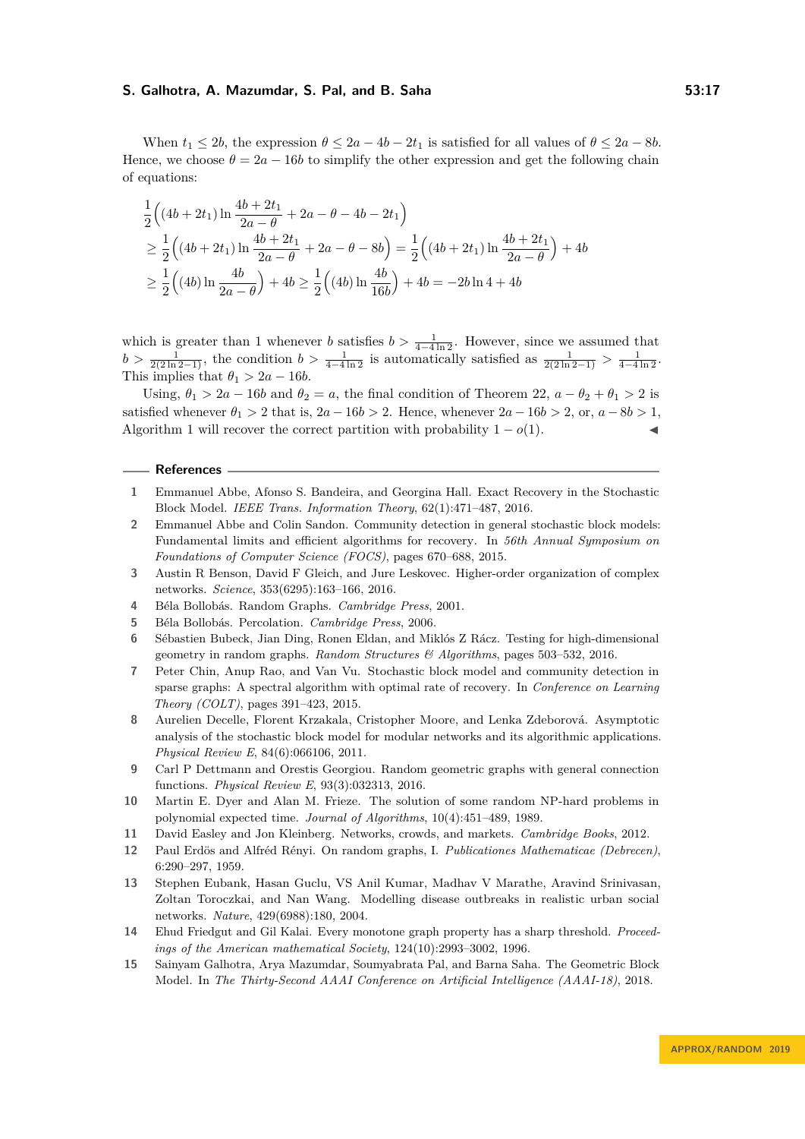When  $t_1 \leq 2b$ , the expression  $\theta \leq 2a - 4b - 2t_1$  is satisfied for all values of  $\theta \leq 2a - 8b$ . Hence, we choose  $\theta = 2a - 16b$  to simplify the other expression and get the following chain of equations:

$$
\frac{1}{2} \left( (4b + 2t_1) \ln \frac{4b + 2t_1}{2a - \theta} + 2a - \theta - 4b - 2t_1 \right)
$$
\n
$$
\geq \frac{1}{2} \left( (4b + 2t_1) \ln \frac{4b + 2t_1}{2a - \theta} + 2a - \theta - 8b \right) = \frac{1}{2} \left( (4b + 2t_1) \ln \frac{4b + 2t_1}{2a - \theta} \right) + 4b
$$
\n
$$
\geq \frac{1}{2} \left( (4b) \ln \frac{4b}{2a - \theta} \right) + 4b \geq \frac{1}{2} \left( (4b) \ln \frac{4b}{16b} \right) + 4b = -2b \ln 4 + 4b
$$

which is greater than 1 whenever *b* satisfies  $b > \frac{1}{4-4\ln 2}$ . However, since we assumed that  $b > \frac{1}{2(2\ln 2 - 1)}$ , the condition  $b > \frac{1}{4-4\ln 2}$  is automatically satisfied as  $\frac{1}{2(2\ln 2 - 1)} > \frac{1}{4-4\ln 2}$ . This implies that  $\theta_1 > 2a - 16b$ .

Using,  $\theta_1 > 2a - 16b$  and  $\theta_2 = a$ , the final condition of Theorem [22,](#page-15-0)  $a - \theta_2 + \theta_1 > 2$  is satisfied whenever  $\theta_1 > 2$  that is,  $2a - 16b > 2$ . Hence, whenever  $2a - 16b > 2$ , or,  $a - 8b > 1$ . Algorithm [1](#page-13-0) will recover the correct partition with probability  $1 - o(1)$ .

## **References**

- <span id="page-16-11"></span>**1** Emmanuel Abbe, Afonso S. Bandeira, and Georgina Hall. Exact Recovery in the Stochastic Block Model. *IEEE Trans. Information Theory*, 62(1):471–487, 2016.
- <span id="page-16-10"></span>**2** Emmanuel Abbe and Colin Sandon. Community detection in general stochastic block models: Fundamental limits and efficient algorithms for recovery. In *56th Annual Symposium on Foundations of Computer Science (FOCS)*, pages 670–688, 2015.
- <span id="page-16-13"></span>**3** Austin R Benson, David F Gleich, and Jure Leskovec. Higher-order organization of complex networks. *Science*, 353(6295):163–166, 2016.
- <span id="page-16-3"></span>**4** Béla Bollobás. Random Graphs. *Cambridge Press*, 2001.
- <span id="page-16-4"></span>**5** Béla Bollobás. Percolation. *Cambridge Press*, 2006.
- <span id="page-16-5"></span>**6** Sébastien Bubeck, Jian Ding, Ronen Eldan, and Miklós Z Rácz. Testing for high-dimensional geometry in random graphs. *Random Structures & Algorithms*, pages 503–532, 2016.
- <span id="page-16-12"></span>**7** Peter Chin, Anup Rao, and Van Vu. Stochastic block model and community detection in sparse graphs: A spectral algorithm with optimal rate of recovery. In *Conference on Learning Theory (COLT)*, pages 391–423, 2015.
- <span id="page-16-9"></span>**8** Aurelien Decelle, Florent Krzakala, Cristopher Moore, and Lenka Zdeborová. Asymptotic analysis of the stochastic block model for modular networks and its algorithmic applications. *Physical Review E*, 84(6):066106, 2011.
- <span id="page-16-1"></span>**9** Carl P Dettmann and Orestis Georgiou. Random geometric graphs with general connection functions. *Physical Review E*, 93(3):032313, 2016.
- <span id="page-16-8"></span>**10** Martin E. Dyer and Alan M. Frieze. The solution of some random NP-hard problems in polynomial expected time. *Journal of Algorithms*, 10(4):451–489, 1989.
- <span id="page-16-14"></span>**11** David Easley and Jon Kleinberg. Networks, crowds, and markets. *Cambridge Books*, 2012.
- <span id="page-16-0"></span>**12** Paul Erdös and Alfréd Rényi. On random graphs, I. *Publicationes Mathematicae (Debrecen)*, 6:290–297, 1959.
- <span id="page-16-2"></span>**13** Stephen Eubank, Hasan Guclu, VS Anil Kumar, Madhav V Marathe, Aravind Srinivasan, Zoltan Toroczkai, and Nan Wang. Modelling disease outbreaks in realistic urban social networks. *Nature*, 429(6988):180, 2004.
- <span id="page-16-7"></span>**14** Ehud Friedgut and Gil Kalai. Every monotone graph property has a sharp threshold. *Proceedings of the American mathematical Society*, 124(10):2993–3002, 1996.
- <span id="page-16-6"></span>**15** Sainyam Galhotra, Arya Mazumdar, Soumyabrata Pal, and Barna Saha. The Geometric Block Model. In *The Thirty-Second AAAI Conference on Artificial Intelligence (AAAI-18)*, 2018.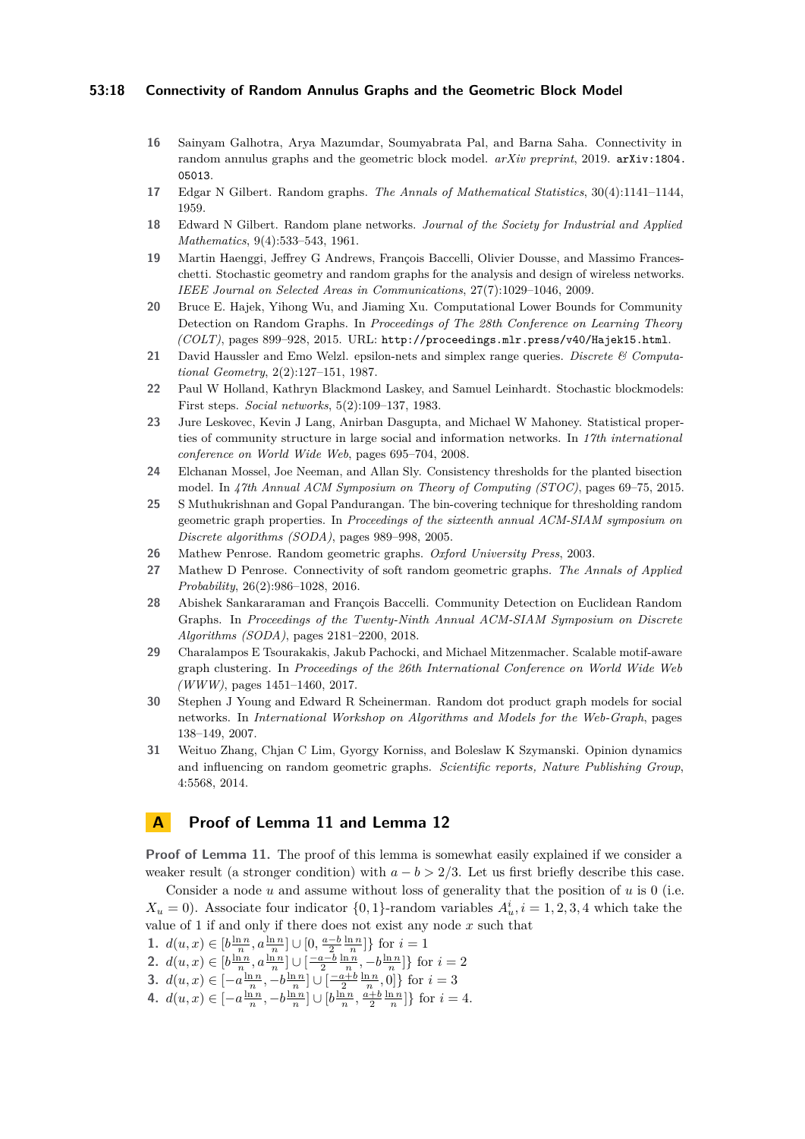## **53:18 Connectivity of Random Annulus Graphs and the Geometric Block Model**

- <span id="page-17-0"></span>**16** Sainyam Galhotra, Arya Mazumdar, Soumyabrata Pal, and Barna Saha. Connectivity in random annulus graphs and the geometric block model. *arXiv preprint*, 2019. [arXiv:1804.](http://arxiv.org/abs/1804.05013) [05013](http://arxiv.org/abs/1804.05013).
- <span id="page-17-1"></span>**17** Edgar N Gilbert. Random graphs. *The Annals of Mathematical Statistics*, 30(4):1141–1144, 1959.
- <span id="page-17-2"></span>**18** Edward N Gilbert. Random plane networks. *Journal of the Society for Industrial and Applied Mathematics*, 9(4):533–543, 1961.
- <span id="page-17-3"></span>**19** Martin Haenggi, Jeffrey G Andrews, François Baccelli, Olivier Dousse, and Massimo Franceschetti. Stochastic geometry and random graphs for the analysis and design of wireless networks. *IEEE Journal on Selected Areas in Communications*, 27(7):1029–1046, 2009.
- <span id="page-17-7"></span>**20** Bruce E. Hajek, Yihong Wu, and Jiaming Xu. Computational Lower Bounds for Community Detection on Random Graphs. In *Proceedings of The 28th Conference on Learning Theory (COLT)*, pages 899–928, 2015. URL: <http://proceedings.mlr.press/v40/Hajek15.html>.
- <span id="page-17-15"></span>**21** David Haussler and Emo Welzl. epsilon-nets and simplex range queries. *Discrete & Computational Geometry*, 2(2):127–151, 1987.
- <span id="page-17-6"></span>**22** Paul W Holland, Kathryn Blackmond Laskey, and Samuel Leinhardt. Stochastic blockmodels: First steps. *Social networks*, 5(2):109–137, 1983.
- <span id="page-17-9"></span>**23** Jure Leskovec, Kevin J Lang, Anirban Dasgupta, and Michael W Mahoney. Statistical properties of community structure in large social and information networks. In *17th international conference on World Wide Web*, pages 695–704, 2008.
- <span id="page-17-8"></span>**24** Elchanan Mossel, Joe Neeman, and Allan Sly. Consistency thresholds for the planted bisection model. In *47th Annual ACM Symposium on Theory of Computing (STOC)*, pages 69–75, 2015.
- <span id="page-17-12"></span>**25** S Muthukrishnan and Gopal Pandurangan. The bin-covering technique for thresholding random geometric graph properties. In *Proceedings of the sixteenth annual ACM-SIAM symposium on Discrete algorithms (SODA)*, pages 989–998, 2005.
- <span id="page-17-5"></span>**26** Mathew Penrose. Random geometric graphs. *Oxford University Press*, 2003.
- <span id="page-17-13"></span>**27** Mathew D Penrose. Connectivity of soft random geometric graphs. *The Annals of Applied Probability*, 26(2):986–1028, 2016.
- <span id="page-17-10"></span>**28** Abishek Sankararaman and François Baccelli. Community Detection on Euclidean Random Graphs. In *Proceedings of the Twenty-Ninth Annual ACM-SIAM Symposium on Discrete Algorithms (SODA)*, pages 2181–2200, 2018.
- <span id="page-17-16"></span>**29** Charalampos E Tsourakakis, Jakub Pachocki, and Michael Mitzenmacher. Scalable motif-aware graph clustering. In *Proceedings of the 26th International Conference on World Wide Web (WWW)*, pages 1451–1460, 2017.
- <span id="page-17-11"></span>**30** Stephen J Young and Edward R Scheinerman. Random dot product graph models for social networks. In *International Workshop on Algorithms and Models for the Web-Graph*, pages 138–149, 2007.
- <span id="page-17-4"></span>**31** Weituo Zhang, Chjan C Lim, Gyorgy Korniss, and Boleslaw K Szymanski. Opinion dynamics and influencing on random geometric graphs. *Scientific reports, Nature Publishing Group*, 4:5568, 2014.

## <span id="page-17-14"></span>**A Proof of Lemma [11](#page-6-3) and Lemma [12](#page-7-0)**

**Proof of Lemma [11.](#page-6-3)** The proof of this lemma is somewhat easily explained if we consider a weaker result (a stronger condition) with  $a - b > 2/3$ . Let us first briefly describe this case.

Consider a node *u* and assume without loss of generality that the position of *u* is 0 (i.e.  $X_u = 0$ ). Associate four indicator  $\{0, 1\}$ -random variables  $A_u^i$ ,  $i = 1, 2, 3, 4$  which take the value of 1 if and only if there does not exist any node *x* such that

- **1.**  $d(u, x) \in [b\frac{\ln n}{n}, a\frac{\ln n}{n}] \cup [0, \frac{a-b}{2}\frac{\ln n}{n}]$  for  $i = 1$
- **2.**  $d(u, x) \in [b \frac{\ln n}{n}, a \frac{\ln n}{n}] \cup [\frac{-a b}{2} \frac{\ln n}{n}, -b \frac{\ln n}{n}]$  for  $i = 2$
- **3.** *d*(*u*, *x*) ∈  $[-a\frac{\ln n}{n}, -b\frac{\ln n}{n}] \cup [\frac{-a+b}{2}\frac{\ln n}{n}, 0]$ } for *i* = 3
- **4.**  $d(u, x) \in [-a\frac{\ln n}{n}, -b\frac{\ln n}{n}] \cup [b\frac{\ln n}{n}, \frac{a+b}{2}\frac{\ln n}{n}]$ } for *i* = 4*.*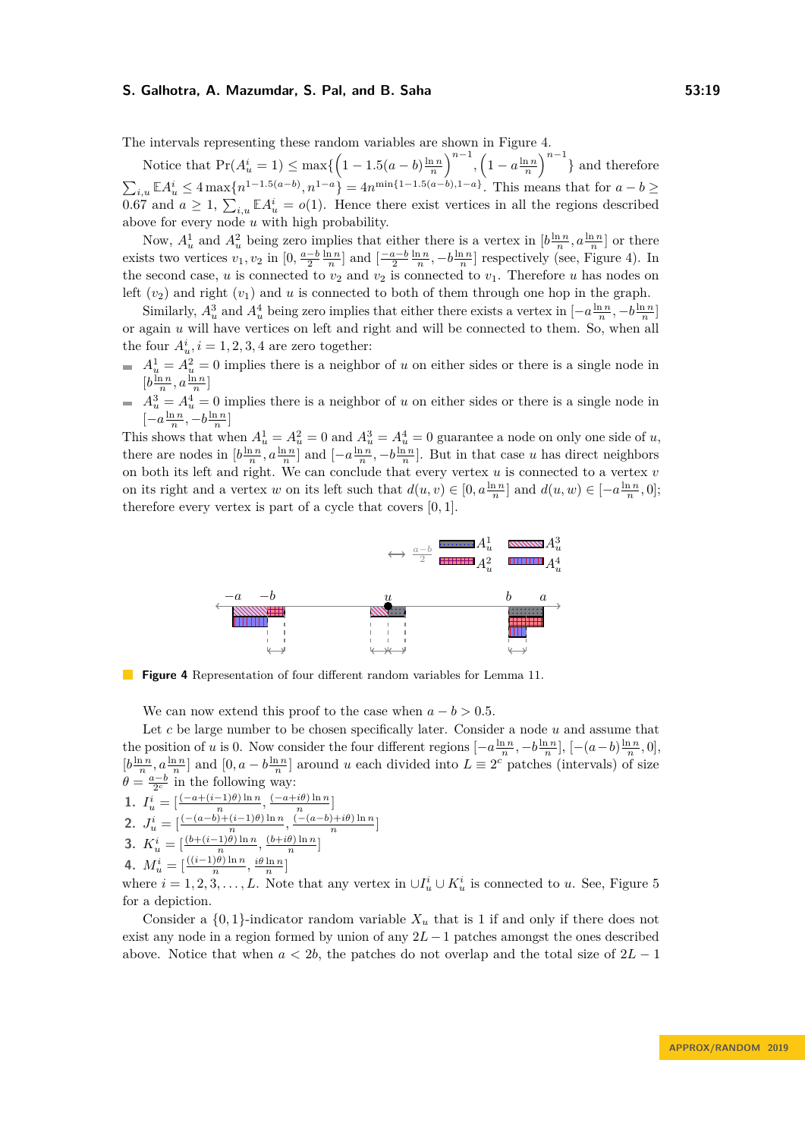The intervals representing these random variables are shown in Figure [4.](#page-18-0)

Notice that  $Pr(A_u^i = 1) \le \max\left\{ \left(1 - 1.5(a - b)\frac{\ln n}{n}\right)^{n-1}, \left(1 - a\frac{\ln n}{n}\right)^{n-1}\right\}$  and therefore  $\sum_{i,u} \mathbb{E} A_u^i \leq 4 \max\{n^{1-1.5(a-b)}, n^{1-a}\} = 4n^{\min\{1-1.5(a-b), 1-a\}}$ . This means that for  $a-b \geq$ 0.67 and  $a \geq 1$ ,  $\sum_{i,u} \mathbb{E} A_u^i = o(1)$ . Hence there exist vertices in all the regions described above for every node *u* with high probability.

Now,  $A_u^1$  and  $A_u^2$  being zero implies that either there is a vertex in  $[b\frac{\ln n}{n}, a\frac{\ln n}{n}]$  or there exists two vertices  $v_1, v_2$  in  $[0, \frac{a-b}{2} \frac{\ln n}{n}]$  and  $[\frac{-a-b}{2} \frac{\ln n}{n}, -b \frac{\ln n}{n}]$  respectively (see, Figure [4\)](#page-18-0). In the second case, *u* is connected to  $v_2$  and  $v_2$  is connected to  $v_1$ . Therefore *u* has nodes on left  $(v_2)$  and right  $(v_1)$  and  $u$  is connected to both of them through one hop in the graph.

Similarly,  $A_u^3$  and  $A_u^4$  being zero implies that either there exists a vertex in  $[-a\frac{\ln n}{n}, -b\frac{\ln n}{n}]$ or again *u* will have vertices on left and right and will be connected to them. So, when all the four  $A_u^i$ ,  $i = 1, 2, 3, 4$  are zero together:

- $A_u^1 = A_u^2 = 0$  implies there is a neighbor of *u* on either sides or there is a single node in  $[b\frac{\ln n}{n}, a\frac{\ln n}{n}]$
- $A_u^3 = A_u^4 = 0$  implies there is a neighbor of *u* on either sides or there is a single node in  $\left[-a\frac{\ln n}{n}, -b\frac{\ln n}{n}\right]$

This shows that when  $A_u^1 = A_u^2 = 0$  and  $A_u^3 = A_u^4 = 0$  guarantee a node on only one side of *u*, there are nodes in  $[b\frac{\ln n}{n}, a\frac{\ln n}{n}]$  and  $[-a\frac{\ln n}{n}, -b\frac{\ln n}{n}]$ . But in that case *u* has direct neighbors on both its left and right. We can conclude that every vertex *u* is connected to a vertex *v* on its right and a vertex *w* on its left such that  $d(u, v) \in [0, a^{\frac{\ln n}{n}}]$  and  $d(u, w) \in [-a^{\frac{\ln n}{n}}, 0]$ ; therefore every vertex is part of a cycle that covers [0*,* 1].

<span id="page-18-0"></span>

**Figure 4** Representation of four different random variables for Lemma [11.](#page-6-3)

We can now extend this proof to the case when  $a - b > 0.5$ .

Let *c* be large number to be chosen specifically later. Consider a node *u* and assume that the position of *u* is 0. Now consider the four different regions  $[-a\frac{\ln n}{n}, -b\frac{\ln n}{n}]$ ,  $[-(a-b)\frac{\ln n}{n}, 0]$ ,  $[b\frac{\ln n}{n}, a\frac{\ln n}{n}]$  and  $[0, a-b\frac{\ln n}{n}]$  around *u* each divided into  $L \equiv 2^c$  patches (intervals) of size  $\theta = \frac{a-b}{2^c}$  in the following way:

1. 
$$
I_u^i = \left[\frac{(-a + (i-1)\theta)\ln n}{n}, \frac{(-a + i\theta)\ln n}{n}\right]
$$

2. 
$$
J_u^i = \left[ \frac{-(a-b)+(i-1)\theta \ln n}{n}, \frac{\frac{n}{(-(a-b)+i\theta)\ln n}}{n} \right]
$$

3. 
$$
K_u^i = \left[\frac{(b + (i-1)\theta)\ln n}{n}, \frac{(b+i\theta)\ln n}{n}\right]^n
$$

**4.**  $M_u^i = \left[\frac{((i-1)\theta) \ln n}{n}, \frac{i\theta \ln n}{n}\right]$ 

where  $i = 1, 2, 3, \ldots, L$ . Note that any vertex in  $\cup I_u^i \cup K_u^i$  is connected to *u*. See, Figure [5](#page-19-0) for a depiction.

Consider a  $\{0,1\}$ -indicator random variable  $X_u$  that is 1 if and only if there does not exist any node in a region formed by union of any  $2L - 1$  patches amongst the ones described above. Notice that when  $a < 2b$ , the patches do not overlap and the total size of  $2L - 1$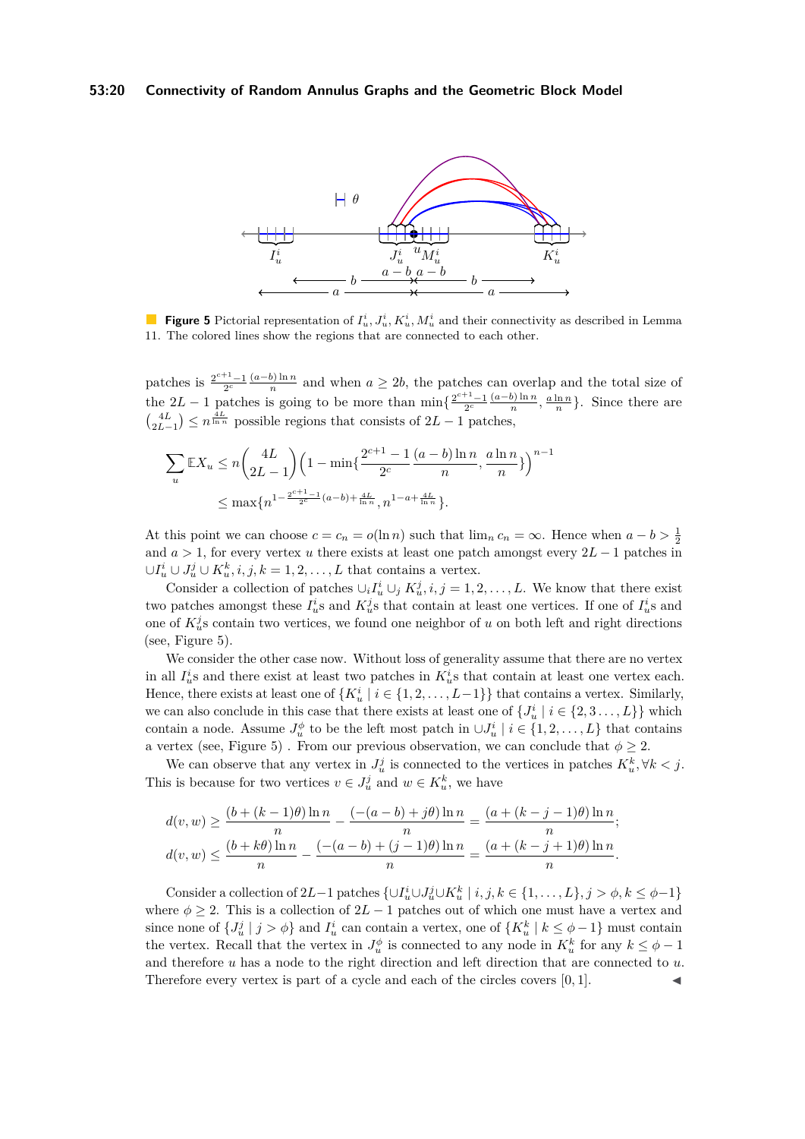## <span id="page-19-0"></span>**53:20 Connectivity of Random Annulus Graphs and the Geometric Block Model**



**Figure 5** Pictorial representation of  $I_u^i, J_u^i, K_u^i, M_u^i$  and their connectivity as described in Lemma [11.](#page-6-3) The colored lines show the regions that are connected to each other.

patches is  $\frac{2^{c+1}-1}{2^c} \frac{(a-b)\ln n}{n}$  $\frac{b \ln n}{n}$  and when  $a \geq 2b$ , the patches can overlap and the total size of the 2L − 1 patches is going to be more than  $\min\left\{\frac{2^{c+1}-1}{2^c}\frac{(a-b)\ln n}{n}\right\}$ patches is going to be more than  $\min\{\frac{2^{c+1}-1}{2^c}\frac{(a-b)\ln n}{n},\frac{a\ln n}{n}\}\.$  Since there are  $\binom{4L}{2L-1} \leq n^{\frac{4L}{\ln n}}$  possible regions that consists of  $2L-1$  patches,

$$
\sum_{u} \mathbb{E}X_u \le n \binom{4L}{2L-1} \left(1 - \min\left\{\frac{2^{c+1} - 1}{2^c} \frac{(a-b)\ln n}{n}, \frac{a\ln n}{n}\right\}\right)^{n-1}
$$
  

$$
\le \max\{n^{1 - \frac{2^{c+1} - 1}{2^c}(a-b) + \frac{4L}{\ln n}}, n^{1 - a + \frac{4L}{\ln n}}\}.
$$

At this point we can choose  $c = c_n = o(\ln n)$  such that  $\lim_n c_n = \infty$ . Hence when  $a - b > \frac{1}{2}$ and *a >* 1, for every vertex *u* there exists at least one patch amongst every 2*L* − 1 patches in  $\cup I_u^i \cup J_u^j \cup K_u^k, i, j, k = 1, 2, \dots, L$  that contains a vertex.

Consider a collection of patches  $\cup_i I_u^i \cup_j K_u^j$ , *i*, *j* = 1, 2, ..., *L*. We know that there exist two patches amongst these  $I_u^i$ s and  $K_u^j$ s that contain at least one vertices. If one of  $I_u^i$ s and one of  $K_u^j$ s contain two vertices, we found one neighbor of *u* on both left and right directions (see, Figure [5\)](#page-19-0).

We consider the other case now. Without loss of generality assume that there are no vertex in all  $I_u^i$  and there exist at least two patches in  $K_u^i$  at hat contain at least one vertex each. Hence, there exists at least one of  $\{K_u^i \mid i \in \{1, 2, \ldots, L-1\}\}\$  that contains a vertex. Similarly, we can also conclude in this case that there exists at least one of  $\{J_u^i \mid i \in \{2, 3, \ldots, L\}\}\$  which contain a node. Assume  $J^{\phi}_u$  to be the left most patch in  $\cup J^i_u \mid i \in \{1, 2, ..., L\}$  that contains a vertex (see, Figure [5\)](#page-19-0) . From our previous observation, we can conclude that  $\phi \geq 2$ .

We can observe that any vertex in  $J_u^j$  is connected to the vertices in patches  $K_u^k$ ,  $\forall k < j$ . This is because for two vertices  $v \in J_u^j$  and  $w \in K_u^k$ , we have

$$
d(v, w) \ge \frac{(b + (k-1)\theta) \ln n}{n} - \frac{(-(a-b) + j\theta) \ln n}{n} = \frac{(a + (k-j-1)\theta) \ln n}{n};
$$
  

$$
d(v, w) \le \frac{(b+k\theta) \ln n}{n} - \frac{(-(a-b) + (j-1)\theta) \ln n}{n} = \frac{(a + (k-j+1)\theta) \ln n}{n}.
$$

Consider a collection of  $2L-1$  patches  $\{\cup I_u^i \cup J_u^j \cup K_u^k \mid i, j, k \in \{1, ..., L\}, j > \phi, k \leq \phi-1\}$ where  $\phi \geq 2$ . This is a collection of  $2L - 1$  patches out of which one must have a vertex and since none of  $\{J_u^j \mid j > \phi\}$  and  $I_u^i$  can contain a vertex, one of  $\{K_u^k \mid k \leq \phi - 1\}$  must contain the vertex. Recall that the vertex in  $J_u^{\phi}$  is connected to any node in  $K_u^k$  for any  $k \leq \phi - 1$ and therefore *u* has a node to the right direction and left direction that are connected to *u*. Therefore every vertex is part of a cycle and each of the circles covers [0, 1].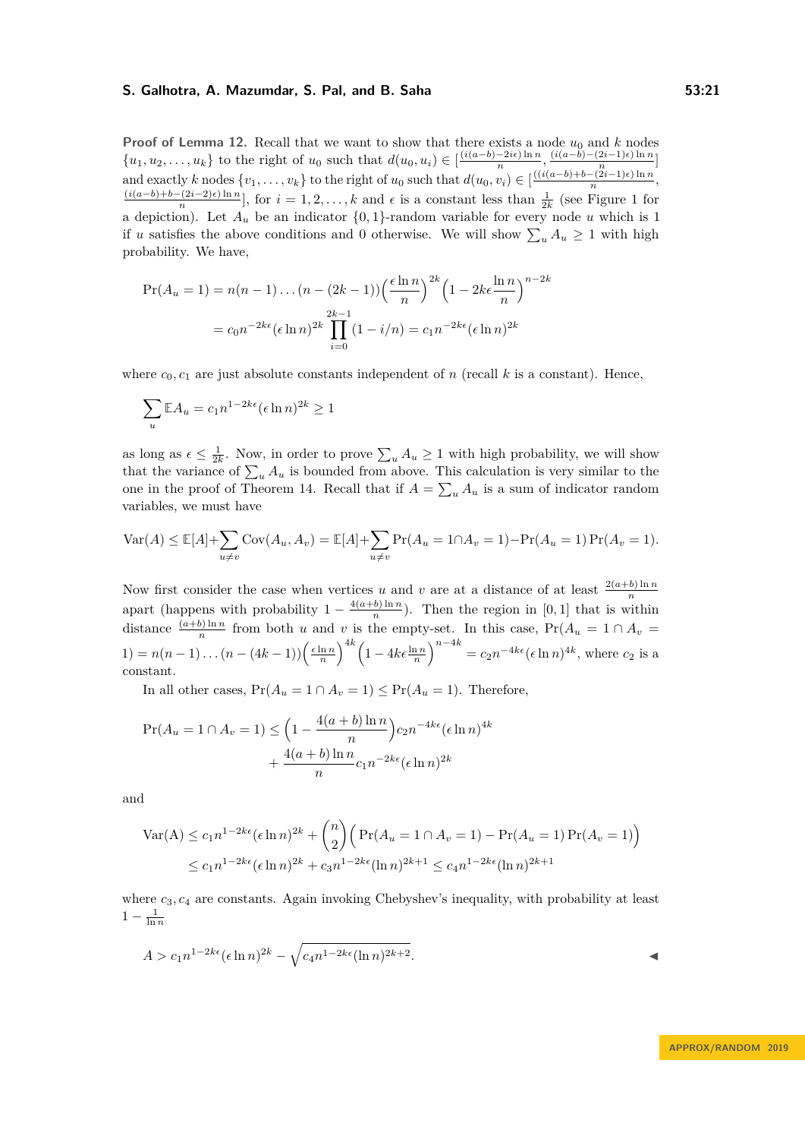**Proof of Lemma [12.](#page-7-0)** Recall that we want to show that there exists a node  $u_0$  and  $k$  nodes  $\{u_1, u_2, \ldots, u_k\}$  to the right of  $u_0$  such that  $d(u_0, u_i) \in \left[\frac{(i(a-b)-2i\epsilon)\ln n}{n}\right]$  $\frac{-2i\epsilon \ln n}{n}, \frac{(i(a-b)-(2i-1)\epsilon)\ln n}{n}$  $\left[\frac{2i-1}{n}\right]$ and exactly k nodes  $\{v_1, \ldots, v_k\}$  to the right of  $u_0$  such that  $d(u_0, v_i) \in \left[\frac{((i(a-b)+b-(2i-1)\epsilon)\ln n}{n}\right]$  $\frac{n}{(n)}$  $(i(a-b)+b-(2i-2)\epsilon)$  ln *n*  $\frac{(2i-2)\epsilon \ln n}{n}$ , for  $i=1,2,\ldots,k$  and  $\epsilon$  is a constant less than  $\frac{1}{2k}$  (see Figure [1](#page-8-0) for a depiction). Let  $A_u$  be an indicator  $\{0,1\}$ -random variable for every node *u* which is 1 if *u* satisfies the above conditions and 0 otherwise. We will show  $\sum_{u} A_u \ge 1$  with high probability. We have,

$$
\Pr(A_u = 1) = n(n-1)\dots(n-(2k-1)) \left(\frac{\epsilon \ln n}{n}\right)^{2k} \left(1 - 2k\epsilon \frac{\ln n}{n}\right)^{n-2k}
$$

$$
= c_0 n^{-2k\epsilon} (\epsilon \ln n)^{2k} \prod_{i=0}^{2k-1} (1 - i/n) = c_1 n^{-2k\epsilon} (\epsilon \ln n)^{2k}
$$

where  $c_0, c_1$  are just absolute constants independent of *n* (recall *k* is a constant). Hence,

$$
\sum_{u} \mathbb{E} A_u = c_1 n^{1 - 2k\epsilon} (\epsilon \ln n)^{2k} \ge 1
$$

as long as  $\epsilon \leq \frac{1}{2k}$ . Now, in order to prove  $\sum_{u} A_u \geq 1$  with high probability, we will show that the variance of  $\sum_{u} A_u$  is bounded from above. This calculation is very similar to the one in the proof of Theorem [14.](#page-9-0) Recall that if  $A = \sum_{u} A_u$  is a sum of indicator random variables, we must have

$$
\text{Var}(A) \le \mathbb{E}[A] + \sum_{u \ne v} \text{Cov}(A_u, A_v) = \mathbb{E}[A] + \sum_{u \ne v} \text{Pr}(A_u = 1 \cap A_v = 1) - \text{Pr}(A_u = 1) \text{Pr}(A_v = 1).
$$

Now first consider the case when vertices *u* and *v* are at a distance of at least  $\frac{2(a+b)\ln n}{n}$ apart (happens with probability  $1 - \frac{4(a+b)\ln n}{n}$  $\frac{b \sin n}{n}$ ). Then the region in [0, 1] that is within distance  $\frac{(a+b)\ln n}{n}$  from both *u* and *v* is the empty-set. In this case, Pr( $A_u = 1 \cap A_v =$ 1) =  $n(n-1)...(n-(4k-1))\left(\frac{\epsilon \ln n}{n}\right)^{4k} \left(1-4k\epsilon \frac{\ln n}{n}\right)^{n-4k} = c_2 n^{-4k\epsilon} (\epsilon \ln n)^{4k}$ , where  $c_2$  is a constant.

In all other cases,  $Pr(A_u = 1 \cap A_v = 1) \leq Pr(A_u = 1)$ . Therefore,

$$
\Pr(A_u = 1 \cap A_v = 1) \le \left(1 - \frac{4(a+b)\ln n}{n}\right)c_2n^{-4k\epsilon}(\epsilon \ln n)^{4k} + \frac{4(a+b)\ln n}{n}c_1n^{-2k\epsilon}(\epsilon \ln n)^{2k}
$$

and

$$
\operatorname{Var}(A) \le c_1 n^{1-2k\epsilon} (\epsilon \ln n)^{2k} + {n \choose 2} \left( \Pr(A_u = 1 \cap A_v = 1) - \Pr(A_u = 1) \Pr(A_v = 1) \right)
$$
  

$$
\le c_1 n^{1-2k\epsilon} (\epsilon \ln n)^{2k} + c_3 n^{1-2k\epsilon} (\ln n)^{2k+1} \le c_4 n^{1-2k\epsilon} (\ln n)^{2k+1}
$$

where  $c_3, c_4$  are constants. Again invoking Chebyshev's inequality, with probability at least  $1-\frac{1}{\ln n}$ 

$$
A > c_1 n^{1-2k\epsilon} (\epsilon \ln n)^{2k} - \sqrt{c_4 n^{1-2k\epsilon} (\ln n)^{2k+2}}.
$$

**APPROX/RANDOM 2019**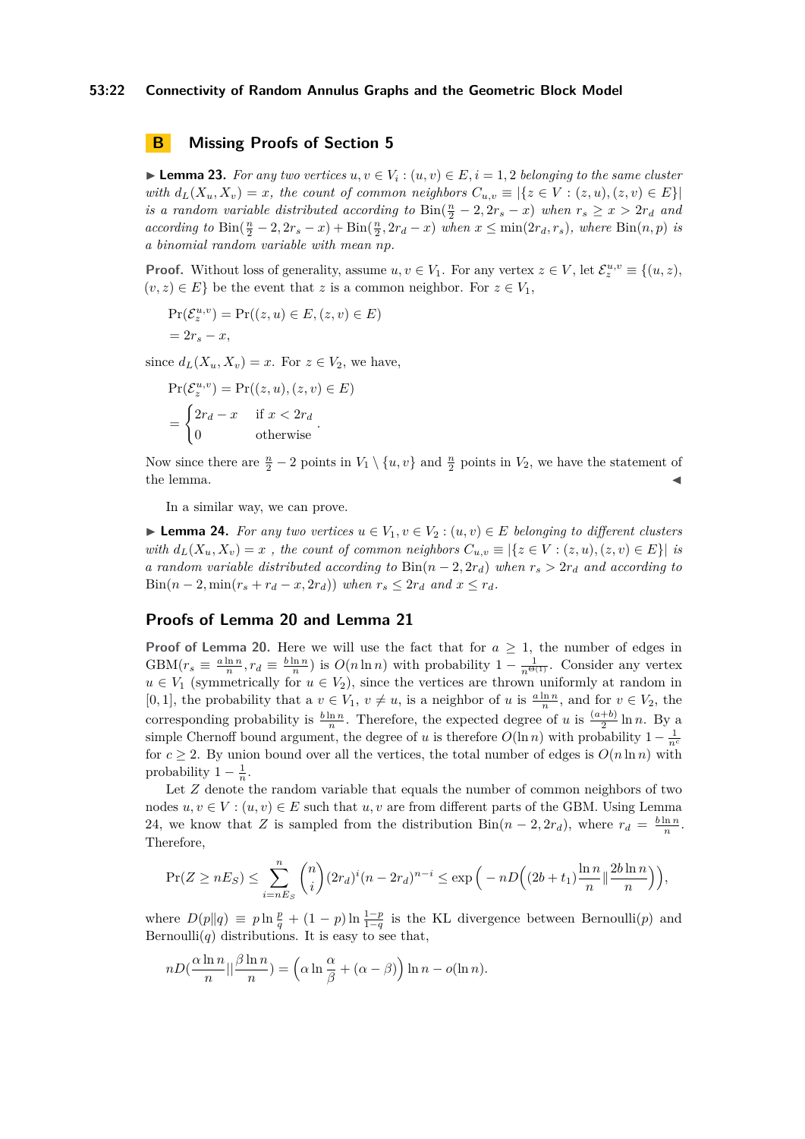## **53:22 Connectivity of Random Annulus Graphs and the Geometric Block Model**

## **B Missing Proofs of Section [5](#page-11-0)**

<span id="page-21-0"></span>► **Lemma 23.** *For any two vertices*  $u, v \in V_i : (u, v) \in E$ ,  $i = 1, 2$  *belonging to the same cluster with*  $d_L(X_u, X_v) = x$ *, the count of common neighbors*  $C_{u,v} \equiv |\{z \in V : (z,u), (z,v) \in E\}|$ *is a random variable distributed according to*  $\text{Bin}(\frac{n}{2} - 2, 2r_s - x)$  *when*  $r_s \geq x > 2r_d$  *and* according to  $\text{Bin}(\frac{n}{2} - 2, 2r_s - x) + \text{Bin}(\frac{n}{2}, 2r_d - x)$  when  $x \leq \min(2r_d, r_s)$ , where  $\text{Bin}(n, p)$  is *a binomial random variable with mean np.*

**Proof.** Without loss of generality, assume  $u, v \in V_1$ . For any vertex  $z \in V$ , let  $\mathcal{E}_z^{u,v} \equiv \{(u, z),$  $(v, z) \in E$  be the event that *z* is a common neighbor. For  $z \in V_1$ ,

$$
Pr(\mathcal{E}_z^{u,v}) = Pr((z,u) \in E, (z,v) \in E)
$$
  
=  $2r_s - x$ ,

since  $d_L(X_u, X_v) = x$ . For  $z \in V_2$ , we have,

$$
\Pr(\mathcal{E}_z^{u,v}) = \Pr((z, u), (z, v) \in E)
$$

$$
= \begin{cases} 2r_d - x & \text{if } x < 2r_d \\ 0 & \text{otherwise} \end{cases}.
$$

Now since there are  $\frac{n}{2} - 2$  points in  $V_1 \setminus \{u, v\}$  and  $\frac{n}{2}$  points in  $V_2$ , we have the statement of  $\blacksquare$  the lemma.

In a similar way, we can prove.

<span id="page-21-1"></span>▶ **Lemma 24.** *For any two vertices*  $u \in V_1, v \in V_2$  :  $(u, v) \in E$  *belonging to different clusters with*  $d_L(X_u, X_v) = x$ , the count of common neighbors  $C_{u,v} \equiv |\{z \in V : (z, u), (z, v) \in E\}|$  is *a random variable distributed according to*  $\text{Bin}(n-2, 2r_d)$  *when*  $r_s > 2r_d$  *and according to* Bin( $n-2$ , min( $r_s + r_d - x$ , 2 $r_d$ )) when  $r_s \leq 2r_d$  and  $x \leq r_d$ .

## **Proofs of Lemma [20](#page-15-1) and Lemma [21](#page-15-2)**

**Proof of Lemma [20.](#page-15-1)** Here we will use the fact that for  $a \geq 1$ , the number of edges in  $GBM(r_s \equiv \frac{a \ln n}{n}, r_d \equiv \frac{b \ln n}{n})$  is  $O(n \ln n)$  with probability  $1 - \frac{1}{n^{\Theta(1)}}$ . Consider any vertex  $u \in V_1$  (symmetrically for  $u \in V_2$ ), since the vertices are thrown uniformly at random in [0, 1], the probability that a  $v \in V_1$ ,  $v \neq u$ , is a neighbor of *u* is  $\frac{a \ln n}{n}$ , and for  $v \in V_2$ , the corresponding probability is  $\frac{b \ln n}{n}$ . Therefore, the expected degree of *u* is  $\frac{(a+b)}{2} \ln n$ . By a simple Chernoff bound argument, the degree of *u* is therefore  $O(\ln n)$  with probability  $1 - \frac{1}{n^c}$ for  $c \geq 2$ . By union bound over all the vertices, the total number of edges is  $O(n \ln n)$  with probability  $1 - \frac{1}{n}$ .

Let *Z* denote the random variable that equals the number of common neighbors of two nodes  $u, v \in V : (u, v) \in E$  such that  $u, v$  are from different parts of the GBM. Using Lemma [24,](#page-21-1) we know that *Z* is sampled from the distribution  $\text{Bin}(n-2, 2r_d)$ , where  $r_d = \frac{b \ln n}{n}$ . Therefore,

$$
\Pr(Z \ge nE_S) \le \sum_{i=nE_S}^n {n \choose i} (2r_d)^i (n-2r_d)^{n-i} \le \exp\left(-nD\left((2b+t_1)\frac{\ln n}{n}\right)\frac{2b\ln n}{n}\right)\right),
$$

where  $D(p||q) \equiv p \ln \frac{p}{q} + (1-p) \ln \frac{1-p}{1-q}$  is the KL divergence between Bernoulli(*p*) and Bernoulli $(q)$  distributions. It is easy to see that,

$$
nD\left(\frac{\alpha \ln n}{n} \middle| \left|\frac{\beta \ln n}{n}\right.\right) = \left(\alpha \ln \frac{\alpha}{\beta} + (\alpha - \beta)\right) \ln n - o(\ln n).
$$